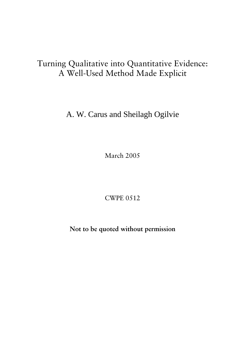# Turning Qualitative into Quantitative Evidence: A Well-Used Method Made Explicit

A. W. Carus and Sheilagh Ogilvie

March 2005

**CWPE 0512** 

Not to be quoted without permission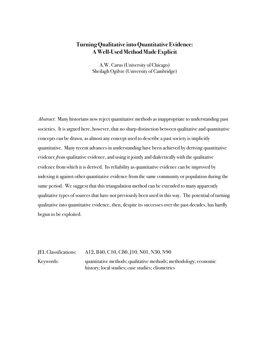# **Turning Qualitative into Quantitative Evidence: A Well-Used Method Made Explicit**

A.W. Carus (University of Chicago) Sheilagh Ogilvie (University of Cambridge)

*Abstract*: Many historians now reject quantitative methods as inappropriate to understanding past societies. It is argued here, however, that no sharp distinction between qualitative and quantitative concepts can be drawn, as almost any concept used to describe a past society is implicitly quantitative. Many recent advances in understanding have been achieved by deriving quantitative evidence *from* qualitative evidence, and using it jointly and dialectically with the qualitative evidence from which it is derived. Its reliability as quantitative evidence can be improved by indexing it against other quantitative evidence from the same community or population during the same period. We suggest that this triangulation method can be extended to many apparently qualitative types of sources that have not previously been used in this way. The potential of turning qualitative into quantitative evidence, then, despite its successes over the past decades, has hardly begun to be exploited.

JEL Classifications: A12, B40, C10, C80, J10, N01, N30, N90

Keywords: quantitative methods; qualitative methods; methodology; economic history; local studies; case studies; cliometrics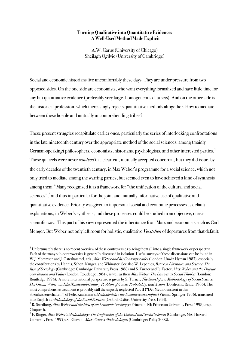# **Turning Qualitative into Quantitative Evidence: A Well-Used Method Made Explicit**

A.W. Carus (University of Chicago) Sheilagh Ogilvie (University of Cambridge)

Social and economic historians live uncomfortably these days. They are under pressure from two opposed sides. On the one side are economists, who want everything formalized and have little time for any but quantitative evidence (preferably very large, homogeneous data sets). And on the other side is the historical profession, which increasingly rejects quantitative methods altogether. How to mediate between these hostile and mutually uncomprehending tribes?

These present struggles recapitulate earlier ones, particularly the series of interlocking confrontations in the late nineteenth century over the appropriate method of the social sciences, among (mainly German-speaking) philosophers, economists, historians, psychologists, and other interested parties.<sup>1</sup> These quarrels were never *resolved* in a clear-cut, mutually accepted concordat, but they did issue, by the early decades of the twentieth century, in Max Weber's programme for a social science, which not only tried to mediate among the warring parties, but seemed even to have achieved a kind of synthesis among them. $^2$  Many recognized it as a framework for "the unification of the cultural and social sciences", $^3$  and thus in particular for the joint and mutually informative use of qualitative and quantitative evidence. Priority was given to impersonal social and economic processes as default explanations, in Weber's synthesis, and these processes could be studied in an objective, quasiscientific way. This part of his view represented the inheritance from Marx and economists such as Carl Menger. But Weber not only left room for holistic, qualitative *Verstehen* of departures from that default;

 $^1$  Unfortunately there is no recent overview of these controversies placing them all into a single framework or perspective. Each of the many sub-controversies is generally discussed in isolation. Useful surveys of these discussions can be found in W.J. Mommsen and J. Osterhammel, eds., *Max Weber and his Contemporaries* (London: Unwin Hyman 1987), especially the contributions by Hennis, Schön, Krüger, and Whimster. See also W. Lepenies, *Between Literature and Science: The Rise of Sociology* (Cambridge: Cambridge University Press 1988) and S. Turner and R. Factor, *Max Weber and the Dispute over Reason and Value* (London: Routledge 1984), as well as their *Max Weber: The Lawyer as Social Thinker* (London: Routledge 1994). A more international perspective is given by S. Turner, *The Search for a Methodology of Social Science: Durkheim, Weber, and the Nineteenth-Century Problem of Cause, Probability, and Action* (Dordrecht: Reidel 1986). The most comprehensive treatment is probably still the unjustly neglected Part II ("Der Methodenstreit in den Sozialwissenschaften") of Felix Kaufmann's *Methodenlehre der Sozialwissenschaften* (Vienna: Springer 1936), translated into English as *Methodology of the Social Sciences* (Oxford: Oxford University Press 1944).

<sup>2</sup> R. Swedberg, *Max Weber and the Idea of an Economic Sociology* (Princeton NJ: Princeton University Press 1998), esp. Chapter 6.

<sup>3</sup> F. Ringer, *Max Weber's Methodology: The Unification of the Cultural and Social Sciences* (Cambridge, MA: Harvard University Press 1997); S. Eliaeson, *Max Weber's Methodologies* (Cambridge: Polity 2002).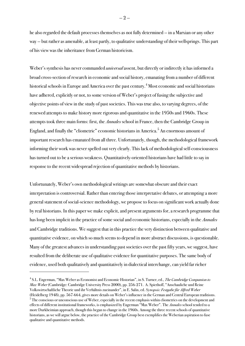he also regarded the default processes themselves as not fully determined — in a Marxian or any other way — but rather as amenable, at least partly, to qualitative understanding of their wellsprings. This part of his view was the inheritance from German historicism.

Weber's synthesis has never commanded *universal* assent, but directly or indirectly it has informed a broad cross-section of research in economic and social history, emanating from a number of different historical schools in Europe and America over the past century. $^{\rm 4}$  Most economic and social historians have adhered, explicitly or not, to some version of Weber's project of fusing the subjective and objective points of view in the study of past societies. This was true also, to varying degrees, of the renewed attempts to make history more rigorous and quantitative in the 1950s and 1960s. These attempts took three main forms: first, the *Annales* school in France, then the Cambridge Group in England, and finally the "cliometric" economic historians in America.<sup>5</sup> An enormous amount of important research has emanated from all three. Unfortunately, though, the methodological framework informing their work was never spelled out very clearly. This lack of methodological self-consciousness has turned out to be a serious weakness. Quantitatively-oriented historians have had little to say in response to the recent widespread rejection of quantitative methods by historians.

Unfortunately, Weber's own methodological writings are somewhat obscure and their exact interpretation is controversial. Rather than entering those interpretative debates, or attempting a more general statement of social-science methodology, we propose to focus on significant work actually done by real historians. In this paper we make explicit, and present arguments for, a research programme that has long been implicit in the practice of some social and economic historians, especially in the *Annales* and Cambridge traditions. We suggest that in this practice the very distinction between qualitative and quantitative evidence, on which so much seems to depend in more abstract discussions, is questionable. Many of the greatest advances in understanding past societies over the past fifty years, we suggest, have resulted from the deliberate use of qualitative evidence for quantitative purposes. The same body of evidence, used both qualitatively and quantitatively in dialectical interchange, can yield far richer

 $\overline{a}$ 

 $-2-$ 

<sup>4</sup> S.L. Engerman, "Max Weber as Economist and Economic Historian", in S. Turner, ed., *The Cambridge Companion to Max Weber* (Cambridge: Cambridge University Press 2000), pp. 256-271. A. Spiethoff, "Anschauliche und Reine Volkswirtschaftliche Theorie und ihr Verhältnis zueinander", in E. Salin, ed. *Synopsis: Festgabe für Alfred Weber*

<sup>(</sup>Heidelberg 1948), pp. 567-664, gives more details on Weber's influence in the German and Central European traditions. <sup>5</sup> The conscious or unconscious use of Weber, especially in the recent emphasis within cliometrics on the development and effects of different institutional frameworks, is emphasized by Engerman "Max Weber". The *Annales* school tended to a more Durkheimian approach, though this began to change in the 1960s. Among the three recent schools of quantitative historians, as we will argue below, the practice of the Cambridge Group best exemplifies the Weberian aspiration to fuse qualitative and quantitative methods.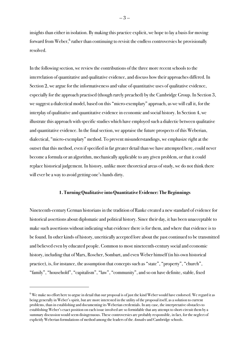insights than either in isolation. By making this practice explicit, we hope to lay a basis for moving forward from Weber, $^6$  rather than continuing to revisit the endless controversies he provisionally resolved.

In the following section, we review the contributions of the three more recent schools to the interrelation of quantitative and qualitative evidence, and discuss how their approaches differed. In Section 2, we argue for the informativeness and value of quantitative uses of qualitative evidence, especially for the approach practised (though rarely preached) by the Cambridge Group. In Section 3, we suggest a dialectical model, based on this "micro-exemplary" approach, as we will call it, for the interplay of qualitative and quantitative evidence in economic and social history. In Section 4, we illustrate this approach with specific studies which have employed such a dialectic between qualitative and quantitative evidence. In the final section, we appraise the future prospects of this Weberian, dialectical, "micro-exemplary" method. To prevent misunderstandings, we emphasize right at the outset that this method, even if specified in far greater detail than we have attempted here, could never become a formula or an algorithm, mechanically applicable to any given problem, or that it could replace historical judgement. In history, unlike more theoretical areas of study, we do not think there will ever be a way to avoid getting one's hands dirty.

#### **1. Turning Qualitative into Quantitative Evidence: The Beginnings**

Nineteenth-century German historians in the tradition of Ranke created a new standard of evidence for historical assertions about diplomatic and political history. Since their day, it has been unacceptable to make such assertions without indicating what evidence there is for them, and where that evidence is to be found. In other kinds of history, uncritically accepted lore about the past continued to be transmitted and believed even by educated people. Common to most nineteenth-century social and economic history, including that of Marx, Roscher, Sombart, and even Weber himself (in his own historical practice), is, for instance, the assumption that concepts such as "state", "property", "church", "family", "household", "capitalism", "law", "community", and so on have definite, stable, fixed

 $^6$  We make no effort here to argue in detail that our proposal is of just the kind Weber would have endorsed. We regard it as being generally in Weber's spirit, but are more interested in the utility of the proposal itself, as a solution to current problems, than in establishing and documenting its Weberian credentials. In any case, the interpretative obstacles to establishing Weber's exact position on each issue involved are so formidable that any attempt to short-circuit them by a summary discussion would seem disingenuous. These controversies are probably responsible, in fact, for the neglect of explicitly Weberian formulations of method among the leaders of the *Annales* and Cambridge schools.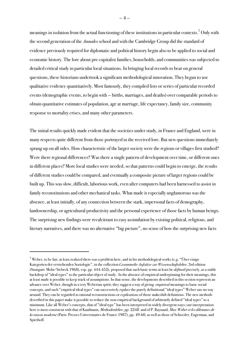meanings in isolation from the actual functioning of these institutions in particular contexts.  $^7$  Only with the second generation of the *Annales* school and with the Cambridge Group did the standard of evidence previously required for diplomatic and political history begin also to be applied to social and economic history. The lore about pre-capitalist families, households, and communities was subjected to detailed critical study in particular local situations. In bringing local records to bear on general questions, these historians undertook a significant methodological innovation. They began to use qualitative evidence quantitatively. Most famously, they compiled lists or series of particular recorded events (demographic events, to begin with — births, marriages, and deaths) over comparable periods to obtain quantitative estimates of population, age at marriage, life expectancy, family size, community response to mortality crises, and many other parameters.

The initial results quickly made evident that the societies under study, in France and England, were in many respects quite different from those portrayed in the received lore. But new questions immediately sprang up on all sides. How characteristic of the larger society were the regions or villages first studied? Were there regional differences? Was there a single pattern of development over time, or different ones in different places? More local studies were needed, so that patterns could begin to emerge, the results of different studies could be compared, and eventually a composite picture of larger regions could be built up. This was slow, difficult, laborious work, even after computers had been harnessed to assist in family reconstitutions and other mechanical tasks. What made it especially unglamorous was the absence, at least initially, of any connection between the stark, impersonal facts of demography, landownership, or agricultural productivity and the personal experience of those facts by human beings. The surprising new findings were recalcitrant to easy assimilation by existing political, religious, and literary narratives, and there was no alternative "big picture", no sense of how the surprising new facts

 $\overline{a}$ 

 $-4-$ 

 $^7$  Weber, to be fair, at least realized there was a problem here, and in his methodological works (e.g. "Über einige Kategorien der verstehenden Soziologie", in the collection *Gesammelte Aufsätze zur Wissenschaftslehre*, 3rd edition (Stuttgart: Mohr/Siebeck 1968), esp. pp. 444-452), proposed that such basic terms at least be *defined* precisely, as a stable backdrop of "ideal types" to the particular object of study. In the absence of empirical underpinning for their meanings, this at least made it possible to keep track of assumptions. In that sense, the developments described in this section represent an advance over Weber, though in a very Weberian spirit; they suggest a way of giving *empirical* meanings to basic social concepts, and such "empirical ideal types" can successively *replace* the purely definitional "ideal types" Weber saw no way around. They can be regarded as rational reconstructions or *explications* of those makeshift definitions. The new methods described in this paper make it possible to reduce the non-empirical background of arbitrarily defined "ideal types" to a minimum. Like all Weber's concepts, that of "ideal type" has been interpreted in widely divergent ways; our interpretation here is most consistent with that of Kaufmann, *Methodenlehre*, pp. 224ff. and of P. Raynaud, *Max Weber et les dilemmes de la raison moderne* (Paris: Presses Universitaires de France 1987), pp. 49-60, as well as those of Schweder, Engerman, and Spiethoff.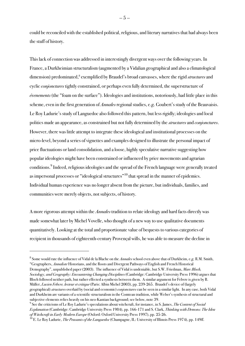could be reconciled with the established political, religious, and literary narratives that had always been the stuff of history.

This lack of connection was addressed in interestingly divergent ways over the following years. In France, a Durkheimian structuralism (augmented by a Vidalian geographical and also a climatological dimension) predominated,<sup>8</sup> exemplified by Braudel's broad canvasses, where the rigid *structures* and cyclic *conjonctures* tightly constrained, or perhaps even fully determined, the superstructure of *évenements* (the "foam on the surface"). Ideologies and institutions, notoriously, had little place in this scheme, even in the first generation of *Annales* regional studies, e.g. Goubert's study of the Beauvaisis. Le Roy Ladurie's study of Languedoc also followed this pattern, but less rigidly; ideologies and local politics made an appearance, as constrained but not fully determined by the *structures* and *conjonctures*. However, there was little attempt to integrate these ideological and institutional processes on the micro-level, beyond a series of vignettes and examples designed to illustrate the personal impact of price fluctuations or land consolidation, and a loose, highly speculative narrative suggesting how popular ideologies might have been constrained or influenced by price movements and agrarian conditions.<sup>9</sup> Indeed, religious ideologies and the spread of the French language were generally treated as impersonal processes or "ideological structures" $^{\rm 10}$  that spread in the manner of epidemics. Individual human experience was no longer absent from the picture, but individuals, families, and communities were merely objects, not subjects, of history.

A more rigorous attempt within the *Annales* tradition to relate ideology and hard facts directly was made somewhat later by Michel Vovelle, who thought of a new way to use qualitative documents quantitatively. Looking at the total and proportionate value of bequests to various categories of recipient in thousands of eighteenth-century Provençal wills, he was able to measure the decline in

 $\overline{a}$ 

 $-5-$ 

<sup>8</sup> Some would rate the influence of Vidal de la Blache on the *Annales* school even above that of Durkheim, e.g. R.M. Smith, "Geographers, *Annaliste* Historians, and the Roots and Divergent Pathways of English and French Historical Demography", unpublished paper (2003). The influence of Vidal is undeniable, but S.W. Friedman, *Marc Bloch, Sociology, and Geography: Encountering Changing Disciplines* (Cambridge: Cambridge University Press 1996) argues that Bloch followed neither path, but rather effected a synthesis between them. A similar argument for Febvre is given by B. Müller, *Lucien Febvre, lecteur et critique* (Paris: Albin Michel 2003), pp. 239-265. Braudel's device of (largely geographical) *structures* overlaid by (social and economic) *conjonctures* can be seen in a similar light. In any case, both Vidal and Durkheim are variants of a scientific structuralism in the Comtean tradition, while Weber's synthesis of structural and subjective elements relies heavily on his neo-Kantian background; see below, note 39.

<sup>9</sup> See the criticisms of Le Roy Ladurie's speculations about witchcraft, for instance, in S. James, *The Content of Social Explanation* (Cambridge: Cambridge University Press 1984), pp. 166-171 and S. Clark, *Thinking with Demons: The Idea of Witchcraft in Early Modern Europe* (Oxford: Oxford University Press 1997), pp. 25-26.

<sup>10</sup> E. Le Roy Ladurie, *The Peasants of the Languedoc* (Champagne, IL: University of Illinois Press 1974), pp. 149ff.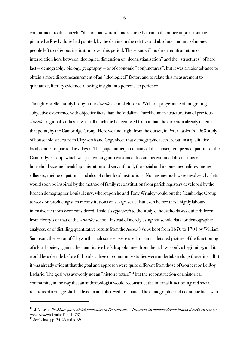commitment to the church ("dechristianization") more directly than in the rather impressionistic picture Le Roy Ladurie had painted, by the decline in the relative and absolute amounts of money people left to religious institutions over this period. There was still no direct confrontation or interrelation here between ideological dimension of "dechristianization" and the "structures" of hard fact — demography, biology, geography — or of economic "conjunctures", but it was a major advance to obtain a more direct measurement of an "ideological" factor, and to relate this measurement to qualitative, literary evidence allowing insight into personal experience.<sup>11</sup>

Though Vovelle's study brought the *Annales* school closer to Weber's programme of integrating subjective experience with objective facts than the Vidalian-Durckheimian structuralism of previous *Annales* regional studies, it was still much further removed from it than the direction already taken, at that point, by the Cambridge Group. Here we find, right from the outset, in Peter Laslett's 1963 study of household structure in Clayworth and Cogenhoe, that demographic facts are put in a qualitative, local context of particular villages. This paper anticipated many of the subsequent preoccupations of the Cambridge Group, which was just coming into existence. It contains extended discussions of household size and headship, migration and servanthood, the social and income inequalities among villagers, their occupations, and also of other local institutions. No new methods were involved. Laslett would soon be inspired by the method of family reconstitution from parish registers developed by the French demographer Louis Henry, whereupon he and Tony Wrigley would put the Cambridge Group to work on producing such reconstitutions on a large scale. But even before these highly labourintensive methods were considered, Laslett's *approach* to the study of households was quite different from Henry's or that of the *Annales* school. Instead of merely using household data for demographic analyses, or of distilling quantitative results from the *Rector's book* kept from 1676 to 1701 by William Sampson, the rector of Clayworth, such sources were used to paint a detailed picture of the functioning of a local society against the quantitative backdrop obtained from them. It was only a beginning, and it would be a decade before full-scale village or community studies were undertaken along these lines. But it was already evident that the goal and approach were quite different from those of Goubert or Le Roy Ladurie. The goal was avowedly not an "histoire totale"<sup>12</sup> but the reconstruction of a historical community, in the way that an anthropologist would reconstruct the internal functioning and social relations of a village she had lived in and observed first hand. The demographic and economic facts were

 $\overline{a}$ 

 $-6-$ 

<sup>&</sup>lt;sup>11</sup> M. Vovelle, *Piété baroque et déchristianisation en Provence au XVIIIe siècle: les attitudes devant la mort d'après les clauses des testaments* **(**Paris: Plon 1973).

 $12$  See below, pp. 24-26 and p. 39.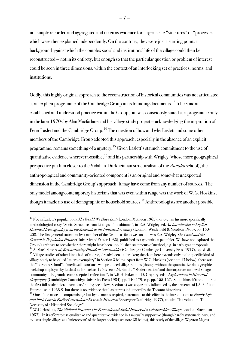not simply recorded and aggregated and taken as evidence for larger-scale "stuctures" or "processes" which were then explained independently. On the contrary, they were just a starting point, a background against which the complex social and institutional life of the village could then be reconstructed — not in its entirety, but enough so that the particular question or problem of interest could be seen in three dimensions, within the context of an interlocking set of practices, norms, and institutions.

Oddly, this highly original approach to the reconstruction of historical communities was not articulated as an explicit programme of the Cambridge Group in its founding documents.  $^{13}$  It became an established and understood practice within the Group, but was consciously stated as a programme only in the later 1970s by Alan Macfarlane and his village study project — acknowledging the inspiration of Peter Laslett and the Cambridge Group. <sup>14</sup> The question of how and why Laslett and some other members of the Cambridge Group adopted this approach, especially in the absence of an explicit programme, remains something of a mystery. <sup>15</sup> Given Laslett's staunch commitment to the use of quantitative evidence wherever possible,  $^{16}$  and his partnership with  $\rm{Wrigley}$  (whose more geographical perspective put him closer to the Vidalian-Durkheimian structuralism of the *Annales* school), the anthropological and community-oriented component is an original and somewhat unexpected dimension in the Cambridge Group's approach. It may have come from any number of sources. The only model among contemporary historians that was even within range was the work of W.G. Hoskins, though it made no use of demographic or household sources.17 Anthropologists are another possible

<sup>13</sup> Not in Laslett's popular book *The World We Have Lost* (London: Methuen 1965) nor even in his more specifically methodological essay "Social Structure from Listings of Inhabitants", in E.A. Wrigley, ed. *An Introduction to English Historical Demography from the Sixteenth to the Nineteenth Century* (London: Weidenfeld & Nicolson 1966), pp. 160- 208. The first general statement by a member of the Group, as far as we can tell, was E.A. Wrigley *The Local and the General in Population History* (University of Exeter 1985), published as a typewritten pamphlet. We have not explored the Group's archives to see whether there might have been unpublished statements of method, e.g. in early grant proposals. 14 A. Macfarlane *et al*, *Reconstructing Historical Communities* (Cambridge: Cambridge University Press 1977), pp. xi-xii.

<sup>&</sup>lt;sup>15</sup> Village studies of other kinds had, of course, already been undertaken; the claim here extends only to the specific kind of village study to be called "micro-exemplary" in Section 3 below. Apart from W.G. Hoskins (see note 17 below), there was the "Toronto School" of medieval historians, who produced village studies (though without the quantitative demographic backdrop employed by Laslett) as far back as 1964; see R.M. Smith, "'Modernization' and the corporate medieval village community in England: scome sceptical reflections", in A.R.H. Baker and D. Gregory, eds., *Explorations in Historical Geography* (Cambridge: Cambridge University Press 1984), pp. 140-179, esp. pp. 155-157. Smith himself (the author of the first full-scale 'micro-exemplary' study; see below, Section 4) was apparently influenced by the presence of J.A. Raftis at Peterhouse in 1968-9, but there is no evidence that Laslett was influenced by the Toronto historians.

<sup>16</sup> One of the more uncompromising, but by no means atypical, statements to this effect is the introduction to *Family Life and Illicit Love in Earlier Generations: Essays in Historical Sociology* (Cambridge 1977), entitled "Introduction: The Necessity of a Historical Sociology".

<sup>&</sup>lt;sup>17</sup> W.G. Hoskins, *The Midland Peasant: The Economic and Social History of a Leicestershire Village* (London: Macmillan 1957). In its effort to use qualitative and quantitative evidence in a mutually supportive (though hardly systematic) way, and to use a single village as a 'microcosm' of the larger society (see note 38 below), this study of the village Wigston Magna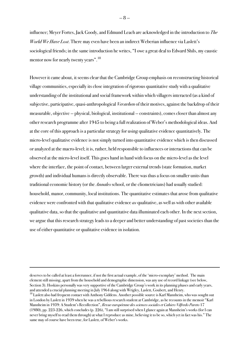influence; Meyer Fortes, Jack Goody, and Edmund Leach are acknowledged in the introduction to *The World We Have Lost*. There may even have been an indirect Weberian influence via Laslett's sociological friends; in the same introduction he writes, "I owe a great deal to Edward Shils, my caustic mentor now for nearly twenty years".<sup>18</sup>

However it came about, it seems clear that the Cambridge Group emphasis on reconstructing historical village communities, especially its close integration of rigorous quantitative study with a qualitative understanding of the institutional and social framework within which villagers interacted (as a kind of subjective, participative, quasi-anthropological *Verstehen* of their motives, against the backdrop of their measurable, objective — physical, biological, institutional — constraints), comes closer than almost any other research programme after 1945 to being a full realization of Weber's methodological ideas. And at the core of this approach is a particular strategy for using qualitative evidence quantitatively. The micro-level qualitative evidence is not simply turned into quantitative evidence which is then discussed or analyzed at the macro-level; it is, rather, held responsible to influences or interactions that can be observed at the micro-level itself. This goes hand in hand with focus on the micro-level as the level where the interface, the point of contact, between larger external trends (state formation, market growth) and individual humans is directly observable. There was thus a focus on smaller units than traditional economic history (or the *Annales* school, or the cliometricians) had usually studied: household, manor, community, local institutions. The quantitative estimates that arose from qualitative evidence were confronted with that qualitative evidence *as* qualitative, as well as with other available qualitative data, so that the qualitative and quantitative data illuminated each other. In the next section, we argue that this research strategy leads to a deeper and better understanding of past societies than the use of either quantitative or qualitative evidence in isolation.

deserves to be called at least a forerunner, if not the first actual example, of the 'micro-exemplary' method. The main element still missing, apart from the household and demographic dimension, was any use of record linkage (see below, Section 3). Hoskins personally was very supportive of the Cambridge Group's work in its planning phases and early years, and attended a crucial planning meeting in July 1964 along with Wrigley, Laslett, Goubert, and Henry.

<sup>&</sup>lt;sup>18</sup> Laslett also had frequent contact with Anthony Giddens. Another possible source is Karl Mannheim, who was sought out in London by Laslett in 1939 when he was a rebellious research student at Cambridge, as he recounts in the memoir "Karl Mannheim in 1939: A Student's Recollection", *Revue européenne des sciences sociales et Cahiers Vilfredo Pareto* 17 (1980), pp. 223-226, which concludes (p. 226), "I am still surprised when I glance again at Mannheim's works (for I can never bring myself to read them through) at what I reproduce as mine, believing it to be so, which yet in fact was his." The same may of course have been true, for Laslett, of Weber's works.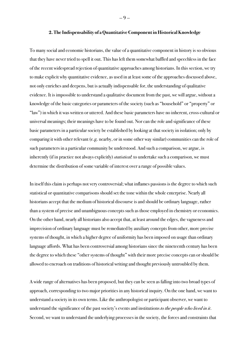#### **2. The Indispensability of a Quantitative Component in Historical Knowledge**

To many social and economic historians, the value of a quantitative component in history is so obvious that they have never tried to spell it out. This has left them somewhat baffled and speechless in the face of the recent widespread rejection of quantitative approaches among historians. In this section, we try to make explicit why quantitative evidence, as used in at least some of the approaches discussed above, not only enriches and deepens, but is actually indispensable for, the understanding of qualitative evidence. It is impossible to understand a qualitative document from the past, we will argue, without a knowledge of the basic categories or parameters of the society (such as "household" or "property" or "law") in which it was written or uttered. And these basic parameters have no inherent, cross-cultural or universal meanings; their meanings have to be found out. Nor can the role and significance of these basic parameters in a particular society be established by looking at that society in isolation; only by comparing it with other relevant (e.g. nearby, or in some other way similar) communities can the role of such parameters in a particular community be understood. And such a comparison, we argue, is inherently (if in practice not always explicitly) *statistical*: to undertake such a comparison, we must determine the distribution of some variable of interest over a range of possible values.

In itself this claim is perhaps not very controversial; what inflames passions is the degree to which such statistical or quantitative comparisons should set the tone within the whole enterprise. Nearly all historians accept that the medium of historical discourse is and should be ordinary language, rather than a system of precise and unambiguous concepts such as those employed in chemistry or economics. On the other hand, nearly all historians also accept that, at least around the edges, the vagueness and imprecision of ordinary language must be remediated by auxiliary concepts from other, more precise systems of thought, in which a higher degree of uniformity has been imposed on usage than ordinary language affords. What has been controversial among historians since the nineteenth century has been the degree to which these "other systems of thought" with their more precise concepts can or should be allowed to encroach on traditions of historical writing and thought previously untroubled by them.

A wide range of alternatives has been proposed, but they can be seen as falling into two broad types of approach, corresponding to two major priorities in any historical inquiry. On the one hand, we want to understand a society in its own terms. Like the anthropologist or participant observer, we want to understand the significance of the past society's events and institutions *to the people who lived in it*. Second, we want to understand the underlying processes in the society, the forces and constraints that

 $-9-$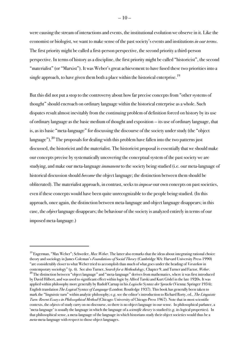were causing the stream of interactions and events, the institutional evolution we observe in it. Like the economist or biologist, we want to make sense of the past society's events and institutions *in our terms*. The first priority might be called a first-person perspective, the second priority a third-person perspective. In terms of history as a discipline, the first priority might be called "historicist", the second "materialist" (or "Marxist"). It was Weber's great achievement to have fused these two priorities into a single approach, to have given them both a place within the historical enterprise.<sup>19</sup>

But this did not put a stop to the controversy about how far precise concepts from "other systems of thought" should encroach on ordinary language within the historical enterprise as a whole. Such disputes result almost inevitably from the continuing problem of definition forced on history by its use of ordinary language as the basic medium of thought and exposition — its use of ordinary language, that is, as its basic "meta-language" for discussing the discourse of the society under study (the "object language"). $^{\rm 20}$  The proposals for dealing with this problem have fallen into the two patterns just discussed, the historicist and the materialist. The historicist proposal is essentially that we should make our concepts precise by systematically uncovering the conceptual system of the past society we are studying, and make our meta-language *immanent* to the society being studied (i.e. our meta-language of historical discussion should *become* the object language; the distinction between them should be obliterated). The materialist approach, in contrast, seeks to *impose* our own concepts on past societies, even if these concepts would have been quite unrecognizable to the people being studied. (In this approach, once again, the distinction between meta-language and object language disappears; in this case, the *object* language disappears; the behaviour of the society is analyzed entirely in terms of our imposed meta-language.)

<sup>19</sup> Engerman, "Max Weber"; Schweder, *Max Weber*. The latter also remarks that the ideas about integrating rational choice theory and sociology in James Coleman's *Foundations of Social Theory* (Cambridge MA: Harvard University Press 1990) "are considerably closer to what Weber tried to accomplish than much of what goes under the heading of *Verstehen* in contemporary sociology" (p. 4). See also Turner, *Search for a Methodology*, Chapter 9, and Turner and Factor, *Weber*.

 $^{\rm 20}$  The distinction between "object language" and "meta-language" derives from mathematics, where it was first introduced by David Hilbert, and was used to significant effect within logic by Alfred Tarski and Kurt Gödel in the late 1920s. It was applied within philosophy more generally by Rudolf Carnap in his *Logische Syntax der Sprache* (Vienna: Springer 1934); English translation *The Logical Syntax of Language* (London: Routledge 1937). This book has generally been taken to mark the "linguistic turn" within analytic philosophy; e.g. see the editor's introduction to Richard Rorty, ed., *The Linguistic Turn: Recent Essays in Philosophical Method* (Chicago: University of Chicago Press 1967). Note that in most scientific contexts, the *objects* of study carry on no discourse, so there is no object language in our sense. In philosophical parlance, a 'meta-language' is usually the language in which the language of a *scientific theory* is studied (e.g. its logical properties). In that philosophical sense, a meta-language of the language in which historians study their object societies would thus be a *meta-*meta-language with respect to those object languages.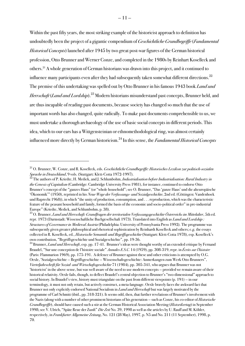Within the past fifty years, the most striking example of the historicist approach to definition has undoubtedly been the project of a gigantic compendium of *Geschichtliche Grundbegriffe* (*Fundamental Historical Concepts*) launched after 1945 by two great post-war figures of the German historical profession, Otto Brunner and Werner Conze, and completed in the 1980s by Reinhart Koselleck and others.<sup>21</sup> A whole generation of German historians was drawn into this project, and it continued to influence many participants even after they had subsequently taken somewhat different directions.<sup>22</sup> The premise of this undertaking was spelled out by Otto Brunner in his famous 1943 book *Land und Herrschaft (Land and Lordship).<sup>23</sup> Modern historians misunderstand past concepts, Brunner held, and* are thus incapable of reading past documents, because society has changed so much that the use of important words has also changed, quite radically. To make past documents comprehensible to us, we must undertake a thorough archaeology of the use of basic social concepts in different periods. This idea, which to our ears has a Wittgensteinian or ethnomethodological ring, was almost certainly influenced more directly by German historicism.<sup>24</sup> In this sense, the *Fundamental Historical Concepts*

 $\overline{a}$ 

24 Brunner, *Land und Herrschaft*, esp. pp. 17-41. Brunner's ideas were thought worthy of an extended critique by Fernand Braudel, "Sur une conception de l'histoire sociale" *Annales E.S.C.* 14 (1959), pp. 308-319, repr. in *Écrits sur l'histoire* (Paris: Flammarion 1969), pp. 175-191. A defence of Brunner against these and other criticisms is attempted by O.G. Oexle, 'Sozialgeschichte — Begriffsgeschichte — Wissenschaftsgeschichte: Anmerkungen zum Werk Otto Brunners", *Vierteljahrschrift für Sozial- und Wirtschaftsgeschichte* 71 (1984), pp. 305-341, who argues that Brunner was not 'historicist' in the above sense, but was well aware of the need to use modern concepts — provided we remain aware of their historical relativity. Oexle fails, though, to deflect Braudel's central objection to Brunner's "two-dimensional" approach to social history. In Braudel's view, history must triangulate on the past from different viewpoints (p. 191) — in our terminology, it must not only retain, but actively construct, a meta-language. Oexle bravely faces the awkward fact that Brunner not only explicitly endorsed National Socialism in *Land und Herrschaft* but was largely motivated by the programme of Carl Schmitt (ibid., pp. 318-321). It seems odd, then, that further revelations of Brunner's involvement with the Nazis (along with a number of other prominent historians of his generation — such as Conze, his co-editor of *Historische Grundbegriffe*), should have caused such a stir at the German Historical Association Meeting (*Historikertag*) in September 1998; see V. Ulrich, "Späte Reue der Zunft" *Die Zeit* No. 39, 1998 as well as the articles by U. Rauff and M. Köhler, respectively, in *Frankfurter Allgemeine Zeitung*, No. 121 (28 May), 1997, p. N5 and No. 211 (11 September), 1998, p. 70.

<sup>21</sup> O. Brunner, W. Conze, and R. Koselleck, eds. *Geschichtliche Grundbegriffe: Historisches Lexikon zur politisch-sozialen*

*Sprache in Deutschland*, 9 vols. (Stuttgart: Klett-Cotta 1972-1997).<br><sup>22</sup> The authors of P. Kriedte, H. Medick, and J. Schlumbohm, *Industrialisation before Industrialisation: Rural Industry in the Genesis of Capitalism* (Cambridge: Cambridge University Press 1981), for instance, continued to endorse Otto Brunner's concept of the "ganzes Haus" (or "whole household"; see O. Brunner, "Das 'ganze Haus' und die alteuropäische 'Ökonomik'" (1950), reprinted in his *Neue Wege der Verfassungs- und Sozialgeschichte*, 2nd ed. (Göttingen: Vandenhoek und Ruprecht 1968)), in which "the unity of production, consumption, and . . . reproduction, which was the characteristic feature of the peasant household and family, formed the basis of the economic and socio-political order" in pre-industrial Europe" (Kriedte, Medick, and Schlumbohm, p. 38).

<sup>&</sup>lt;sup>23</sup> O. Brunner, *Land und Herrschaft: Grundfragen der territorialen Verfassungsgeschichte Österreichs im Mittelalter*, 5th ed. repr. 1973 (Darmstadt: Wissenschaftliche Buchgesellschaft 1973). Translated into English as *Land and Lordship : Structures of Governance in Medieval Austria* (Philadelphia: University of Pennsylvania Press 1992). The programme was subsequently given greater philosophical and rhetorical sophistication by Reinhardt Koselleck and others; e.g. the essays collected in R. Koselleck, ed., *Historische Semantik und Begriffsgeschichte* (Stuttgart: Klett-Cotta 1978), esp. Koselleck's own contribution, "Begriffsgeschichte und Sozialgeschichte", pp. 19-36.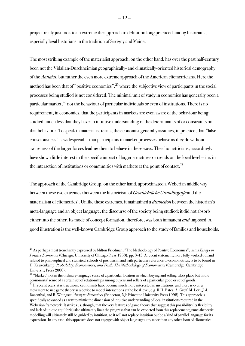project really just took to an extreme the approach to definition long practiced among historians, especially legal historians in the tradition of Savigny and Maine.

The most striking example of the materialist approach, on the other hand, has over the past half-century been not the Vidalian-Durckheimian geographically- and climatically-oriented historical demography of the *Annales*, but rather the even more extreme approach of the American cliometricians. Here the method has been that of "positive economics", <sup>25</sup> where the subjective view of participants in the social processes being studied is not considered. The minimal unit of study in economics has generally been a particular market,<sup>26</sup> not the behaviour of particular individuals or even of institutions. There is no requirement, in economics, that the participants in markets are even aware of the behaviour being studied, much less that they have an intuitive understanding of the determinants of or constraints on that behaviour. To speak in materialist terms, the economist generally assumes, in practice, that "false consciousness" is widespread — that participants in market processes behave as they do without awareness of the larger forces leading them to behave in these ways. The cliometricians, accordingly, have shown little interest in the specific impact of larger structures or trends on the local level – i.e. in the interaction of institutions or communities with markets at the point of contact. $27$ 

The approach of the Cambridge Group, on the other hand, approximated a Weberian middle way between these two extremes (between the historicism of *Geschichtliche Grundbegriffe* and the materialism of cliometrics). Unlike these extremes, it maintained a *distinction* between the historian's meta-language and an object language, the discourse of the society being studied; it did not absorb either into the other. Its mode of concept formation, therefore, was both immanent *and* imposed. A good illustration is the well-known Cambridge Group approach to the study of families and households.

<sup>25</sup> As perhaps most trenchantly expressed by Milton Friedman, "The Methodology of Positive Economics", in his *Essays in Positive Economics* (Chicago: University of Chicago Press 1953), pp. 3-43. A recent statement, more fully worked out and related to philosophical and statistical schools of positivism, and with particular reference to econometrics, is to be found in H. Keuzenkamp, *Probability, Econometrics, and Truth: The Methodology of Econometrics* (Cambridge: Cambridge University Press 2000).

 $^{26}$  "Market" not in the ordinary-language sense of a particular location in which buying and selling takes place but in the economists' sense of a certain set of relationships among buyers and sellers of a particular good or set of goods.

<sup>&</sup>lt;sup>27</sup> In recent years, it is true, some economists have become much more interested in institutions, and there is even a movement to use game theory as a device to model interactions at the local level, e.g. R.H. Bates, A. Greif, M. Levi, J.-L. Rosenthal, and B. Weingast, *Analytic Narratives* (Princeton, NJ: Princeton University Press 1998). This approach is specifically advanced as a way to mimic the dimension of intuitive understanding of local institutions required in the Weberian framework. It strikes us, though, that the very features of game theory that suggest this possibility (its flexibility and lack of unique equilibria) also ultimately limit the progress that can be expected from this replacement; game-theoretic modelling will ultimately still be guided by intuition, so it will not replace intuition but be a kind of parallel language for its expression. In any case, this approach does not engage with object languages any more than any other form of cliometrics.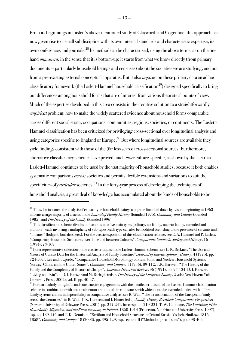From its beginnings in Laslett's above-mentioned study of Clayworth and Cogenhoe, this approach has now given rise to a small subdiscipline with its own internal standards and characteristic expertise, its own conferences and journals.<sup>28</sup> Its method can be characterized, using the above terms, as on the one hand *immanent*, in the sense that it is bottom-up; it starts from what we know directly (from primary documents — particularly household listings and censuses) about the societies we are studying, and not from a pre-existing external conceptual apparatus. But it also *imposes* on these primary data an ad hoc classificatory framework (the Laslett-Hammel household classification $^{29})$  designed specifically to bring out differences among household forms that are of interest from various theoretical points of view. Much of the expertise developed in this area consists in the iterative solution to a straightforwardly *empirical* problem: how to make the widely scattered evidence about household forms comparable across different social strata, occupations, communities, regions, societies, or continents. The Laslett-Hammel classification has been criticized for privileging cross-sectional over longitudinal analysis and using categories specific to England or Europe. $^{\rm 30}$  But where longitudinal sources are available they yield findings consistent with those of the (far less scarce) cross-sectional sources. Furthermore, alternative classificatory schemes have proved much *more* culture-specific, as shown by the fact that Laslett-Hammel continues to be used by the vast majority of household studies, because it both enables systematic comparisons *across* societies and permits flexible extensions and variations to suit the specificities of *particular* societies.<sup>31</sup> In the forty-year process of developing the techniques of household analysis, a great deal of knowledge has accumulated about the kinds of households to be

 $^{28}$  Thus, for instance, the analysis of census-type household listings along the lines laid down by Laslett beginning in 1963 informs a large majority of articles in the *Journal of Family History* (founded 1975), *Continuity and Change* (founded 1985), and *The History of the Family* (founded 1996).

 $^{29}$  This classification scheme divides households into five main types (solitary, no-family, nuclear family, extended and multiple), each involving a multiplicity of sub-types; each type can also be modified according to the presence of servants and "inmates" (lodgers, boarders, etc.). For the classic exposition of this classification scheme, see E. A. Hammel and P. Laslett, "Comparing Household Structures over Time and between Cultures", *Comparative Studies in Society and History*, 16 (1974), 73-109.

 $\rm{^{30}}$  For a representative selection of the classic critiques of the Laslett-Hammel scheme, see L. K. Berkner, "The Use and Misuse of Census Data for the Historical Analysis of Family Structure", *Journal of Interdisciplinary History*, 4 (1975), pp. 724-30; J. Lee and J. Gjerde, "Comparative Household Morphology of Stem, Joint, and Nuclear Household Systems: Norway, China, and the United States", *Continuity and Change*, 1 (1986), 89-112; T.K. Hareven, "The History of the Family and the Complexity of Historical Change", *American Historical Review*, 96 (1991), pp. 95-124; D. I. Kertzer, "Living with Kin", in D. I. Kertzer and M. Barbagli (eds.), *The History of the European Family*, 2 vols (New Haven: Yale University Press, 2002), vol. II, pp. 40-47.

 $^{\rm 31}$  For particularly thoughtful and constructive engagements with the detailed criticisms of the Laslett-Hammel classification scheme in combination with practical demonstrations of the robustness with which it can be extended to deal with different family systems and its indispensibility in comparative analysis, see R. Wall, "The Transformation of the European Family across the Centuries", in R. Wall, T. K. Hareven, and J. Ehmer (eds.), *Family History Revisited: Comparative Perspectives* (Newark: University of Delaware Press, 2001), pp. 217-241, here esp. pp. 219-221; T. W. Guinnane, *The Vanishing Irish: Households, Migration, and the Rural Economy in Ireland*, 1850-1914 (Princeton, NJ: Princeton University Press, 1997), esp. pp. 139-146; and T. K. Dennison, "Serfdom and Household Structure in Central Russia: Voshchazhnikovo 1816- 1858", *Continuity and Change* 18 (2003), pp. 395-429, esp. section III ("Methodological Issues"), pp. 398-404.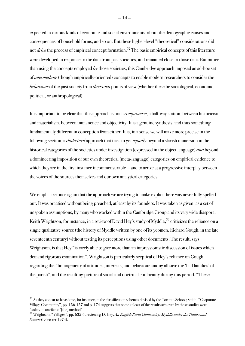expected in various kinds of economic and social environments, about the demographic causes and consequences of household forms, and so on. But these higher-level "theoretical" considerations did not *drive* the process of empirical concept formation.<sup>32</sup> The basic empirical concepts of this literature were developed in response to the data from past societies, and remained close to those data. But rather than using the concepts employed *by* those societies, this Cambridge approach imposed an ad-hoc set of *intermediate* (though empirically-oriented) concepts to enable modern researchers to consider the *behaviour* of the past society from *their own* points of view (whether these be sociological, economic, political, or anthropological).

It is important to be clear that this approach is not a *compromise*, a half-way station, between historicism and materialism, between immanence and objectivity. It is a genuine synthesis, and thus something fundamentally different in conception from either. It is, in a sense we will make more precise in the following section, a *dialectical* approach that tries to get *equally* beyond a slavish immersion in the historical categories of the societies under investigation (expressed in the object language) *and* beyond a domineering imposition of our own theoretical (meta-language) categories on empirical evidence to which they are in the first instance incommensurable — and to arrive at a progressive interplay between the voices of the sources themselves and our own analytical categories.

We emphasize once again that the approach we are trying to make explicit here was never fully spelled out. It was practised without being preached, at least by its founders. It was taken as given, as a set of unspoken assumptions, by many who worked within the Cambridge Group and its very wide diaspora. Keith Wrightson, for instance, in a review of David Hey's study of Myddle, $^{33}$  criticizes the reliance on a single qualitative source (the history of Myddle written by one of its yeomen, Richard Gough, in the late seventeenth century) without testing its perceptions using other documents. The result, says Wrightson, is that Hey "is rarely able to give more than an impressionistic discussion of issues which demand rigorous examination". Wrightson is particularly sceptical of Hey's reliance on Gough regarding the "homogeneity of attitudes, interests, and behaviour among all save the 'bad families' of the parish", and the resulting picture of social and doctrinal conformity during this period. "These

 $^\mathrm{32}$  As they appear to have done, for instance, in the classification schemes devised by the Toronto School; Smith, "Corporate Village Community", pp. 156-157 and p. 174 suggests that some at least of the results achieved by these studies were "solely an artefact of [the] method".

<sup>33</sup> Wrightson, "Villages", pp. 635-6, reviewing D. Hey, *An English Rural Community: Myddle under the Tudors and Stuarts* (Leicester 1974).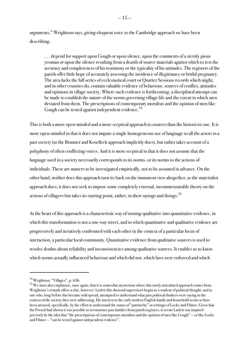arguments," Wrightson says, giving eloquent voice to the Cambridge approach we have been describing,

. . . depend for support upon Gough or upon silence, upon the comments of a sternly pious yeoman or upon the silence resulting from a dearth of source materials against which to test the accuracy and completeness of his testimony or the typicality of his attitudes. The registers of the parish offer little hope of accurately assessing the incidence of illegitimacy or bridal pregnancy. The area lacks the full series of ecclesiastical court or Quarter Sessions records which might, and in other counties do, contain valuable evidence of behaviour, sources of conflict, attitudes and opinions in village society. Where such evidence is forthcoming, a disciplined attempt can be made to establish the nature of the norms governing village life and the extent to which men deviated from them. The prescriptions of contemporary moralists and the opinion of men like Gough can be tested against independent evidence.<sup>34</sup>

This is both a more open-minded and a more sceptical approach to sources than the historicist one. It is more open-minded in that it does not impute a single homogeneous use of language to all the actors in a past society (as the Brunner and Koselleck approach implicitly does), but rather takes account of a polyphony of often conflicting voices. And it is more sceptical in that it does not assume that the language used in a society necessarily corresponds to its norms, or its norms to the actions of individuals. These are matters to be investigated empirically, not to be assumed in advance. On the other hand, neither does this approach turn its back on the immanent view altogether, as the materialist approach does; it does not seek to impose some completely external, incommensurable theory on the actions of villagers but takes its starting point, rather, in their sayings and doings.<sup>35</sup>

At the heart of this approach is a characteristic way of turning qualitative into quantitative evidence, in which this transformation is not a one-way street, and in which quantitative and qualitative evidence are progressively and iteratively confronted with each other in the context of a particular focus of interaction, a particular local community. Quantitative evidence from qualitative sources is used to resolve doubts about reliability and inconsistencies among qualitative sources. It enables us to know which norms actually influenced behaviour and which did not, which laws were enforced and which

 $34$ Wrightson, "Villages", p. 636.

 $^{35}\rm{We}$  must also emphasize, once again, that it is somewhat mysterious where this rarely articulated approach comes from. Wrightson's remark offers a clue, however. Laslett (his doctoral supervisor) began as a student of political thought, and as one who, long before this became widespread, attempted to understand what past political thinkers were saying in the context of the society they were addressing. His interest in the early modern English family and household seems to have been aroused, specifically, by the effort to understand the status of "patriarchy" in writings of Locke and Filmer. Given that the French had shown it was possible to reconstruct past families from parish registers, it seems Laslett was inspired precisely by the idea that "the prescriptions of contemporary moralists and the opinion of men like Gough" — or like Locke and Filmer — "can be tested against independent evidence".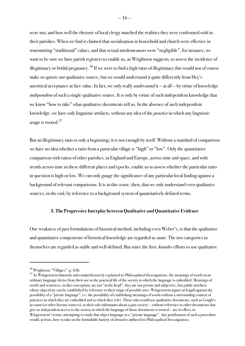were not, and how well the rhetoric of local clergy matched the realities they were confronted with in their parishes. When we find it claimed that socialization in household and church were effective in transmitting "traditional" values, and that sexual misdemeanors were "negligible", for instance, we want to be sure we have parish registers to enable us, as Wrightson suggests, to assess the incidence of illegitimacy or bridal pregnancy.  $^{36}$  If we were to find a high ratio of illegitimacy this would not of course make us ignore our qualitative source, but we would understand it quite differently from Hey's uncritical acceptance at face value. In fact, we only really *understand* it — at all — by virtue of knowledge *independent* of such a single qualitative source. It is only by virtue of such independent knowledge that we know "how to take" what qualitative documents tell us. In the absence of such independent knowledge, we have only linguistic artifacts, without any idea of the *practice* in which any linguistic usage is rooted.<sup>37</sup>

But an illegitimacy ratio is only a beginning; it is not enough by itself. Without a standard of comparison we have no idea whether a ratio from a particular village is "high" or "low". Only the quantitative comparison with ratios of other parishes, in England and Europe, across time and space, and with trends across time in these different places and epochs, enable us to assess whether the particular ratio in question is high or low. We can only gauge the significance of any particular local finding against a background of relevant comparisons. It is in this sense, then, that we only understand even qualitative sources, in the end, by reference to a background system of quantitatively defined terms.

## **3. The Progressive Interplay between Qualitative and Quantitative Evidence**

One weakness of past formulations of historical method, including even Weber's, is that the qualitative and quantitative components of historical knowledge are regarded as *static*. The two categories in themselves are regarded as stable and well-defined. But since the first *Annales* efforts to use qualitative

 $^{36}$ Wrightson, "Villages", p. 636.

<sup>37</sup> As Wittgenstein famously and comprehensively explained in *Philosophical Investigations*, the meanings of words in an ordinary language derive from their use in the practical life of the society in which the language is embedded. Meanings of words and sentences, in this conception, are not "in the head", they are not private and subjective, but public artefacts whose objectivity can be established by reference to their range of possible uses. Wittgenstein argues at length against the possibility of a "private language", i.e. the possibility of establishing meanings of words without a surrounding context of practices in which they are embedded and to which they refer. Those who would use qualitative documents, such as Gough's account (or other literary sources), as their sole informants about a past society — without reference to other documents that give us independent access to the society in which the language of those documents is rooted — are in effect, in Wittgenstein's terms, attempting to study that object language as a "private language". Any justification of such a procedure would, at least, have to take on the formidable battery of obstacles adduced in *Philosophical Investigations*.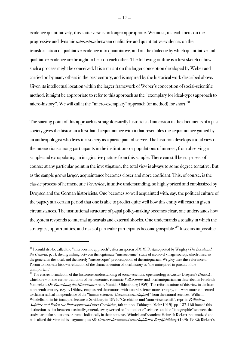evidence quantitatively, this static view is no longer appropriate. We must, instead, focus on the progressive and dynamic *interaction* between qualitative and quantitative evidence: on the transformation of qualitative evidence into quantitative, and on the dialectic by which quantitative and qualitative evidence are brought to bear on each other. The following outline is a first sketch of how such a process might be conceived. It is a variant on the larger conception developed by Weber and carried on by many others in the past century, and is inspired by the historical work described above. Given its intellectual location within the larger framework of Weber's conception of social-scientific method, it might be appropriate to refer to this approach as the "exemplary (or ideal-type) approach to micro-history". We will call it the "micro-exemplary" approach (or method) for short.<sup>38</sup>

The starting point of this approach is straighforwardly historicist. Immersion in the documents of a past society gives the historian a first-hand acquaintance with it that resembles the acquaintance gained by an anthropologist who lives in a society as a participant observer. The historian develops a total view of the interactions among participants in the institutions or populations of interest, from observing a sample and extrapolating an imaginative picture from this sample. There can still be surprises, of course; at any particular point in the investigation, the total view is always to some degree tentative. But as the sample grows larger, acquaintance becomes closer and more confidant. This, of course, is the classic process of hermeneutic *Verstehen*, intuitive understanding, so highly prized and emphasized by Droysen and the German historicists. One becomes so well acquainted with, say, the political culture of the papacy at a certain period that one is able to predict quite well how this entity will react in given circumstances. The institutional structure of papal policy-making becomes clear, one understands how the system responds to internal upheavals and external shocks. One understands a totality in which the strategies, opportunities, and risks of particular participants become graspable. $^{39}$  It seems impossible

 $\overline{a}$ 

 $-17-$ 

<sup>38</sup> It could also be called the "microcosmic approach", after an aperçu of M.M. Postan, quoted by Wrigley (*The Local and the General*, p. 1), distinguishing between the legitimate "microcosmic" study of medieval village society, which discerns the general in the local, and the merely "microscopic" preoccupation of the antiquarian. Wrigley uses this reference to Postan to motivate his own refutation of the characterization of local history as "the uninspired in pursuit of the unimportant".

<sup>39</sup> The classic formulation of this historicist understanding of social-scientific epistemology is Gustav Droysen's *Historik*, which drew on the earlier traditions of hermeneutics, romantic *Volkskunde*, and local antiquarianism described in Friedrich Meinecke's *Die Entstehung des Historismus* (repr. Munich: Oldenbourg 1959). The reformulations of this view in the later nineteenth century, e.g. by Dilthey, emphasized the contrast with natural science more strongly, and were more concerned to claim a radical independence of the "human sciences [*Geisteswissenschaften*]" from the natural sciences. Wilhelm Windelband, in his inaugural lecture at Straßburg in 1894, "Geschichte und Naturwissenschaft", repr. in *Präludien: Aufsätze und Reden zur Philosophie und ihrer Geschichte*, 6th edition (Tübingen: Mohr 1919), pp. 137-160 framed this distinction as that between maximally general, law-governed or "nomothetic" sciences and the "ideographic" sciences that study particular situations or events holistically in their contexts. Windelband's student Heinrich Rickert systematized and radicalized this view in his magnum opus *Die Grenzen der naturwissenschaftlichen Begriffsbildung* (1896-1902); Rickert's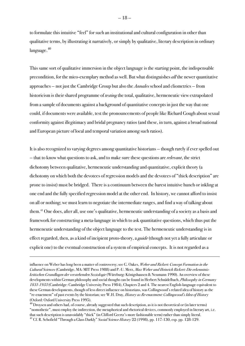to formulate this intuitive "feel" for such an institutional and cultural configuration in other than qualitative terms, by illustrating it narratively, or simply by qualitative, literary description in ordinary  $language.<sup>40</sup>$ 

This same sort of qualitative immersion in the object language is the starting point, the indispensable precondition, for the mico-exemplary method as well. But what distinguishes *all* the newer quantitative approaches — not just the Cambridge Group but also the *Annales* school and cliometrics — from historicism is their shared programme of *testing* the total, qualitative, hermeneutic view extrapolated from a sample of documents against a background of quantitative concepts in just the way that one could, if documents were available, test the pronouncements of people like Richard Gough about sexual conformity against illegitimacy and bridal pregnancy ratios (and these, in turn, against a broad national and European picture of local and temporal variation among such ratios).

It is also recognized to varying degrees among quantitative historians — though rarely if ever spelled out — that to know what questions to ask, and to make sure these questions are *relevant*, the strict dichotomy between qualitative, hermeneutic understanding and quantitative, explicit theory (a dichotomy on which both the devotees of regression models and the devotees of "thick description" are prone to insist) must be bridged. There is a continuum between the barest intuitive hunch or inkling at one end and the fully specified regression model at the other end. In history, we cannot afford to insist on all or nothing; we must learn to negotiate the intermediate ranges, and find a way of talking about them.41 One does, after all, use one's qualitative, hermeneutic understanding of a society as a basis and framework for constructing a meta-language in which to ask quantitative questions, which thus put the hermeneutic understanding of the object language to the test. The hermeneutic understanding is in effect regarded, then, as a kind of incipient proto-theory, a *guide* (though not yet a fully articulate or explicit one) to the eventual construction of a system of empirical concepts. It is not regarded as a

influence on Weber has long been a matter of controversy; see G. Oakes, *Weber and Rickert: Concept Formation in the Cultural Sciences* (Cambridge, MA: MIT Press 1988) and P.-U. Merz, *Max Weber und Heinrich Rickert: Die erkenntniskritischen Grundlagen der verstehenden Soziologie* (Würzburg: Königshausen & Neumann 1990). An overview of these developments within German philosophy and social thought can be found in Herbert Schnädelbach, *Philosophy in Germany 1831-1933* (Cambridge: Cambridge University Press 1984), Chapters 2 and 4. The nearest English-language equivalent to these German developments, though of less direct influence on historians, was Collingwood's related idea of history as the "re-enactment" of past events by the historian; see W.H. Dray, *History as Re-enactment: Collingwood's Idea of History* (Oxford: Oxford University Press 1995).

 $^{40}$  Droysen and others had, of course, already suggested that such description, as it is not theoretical or (in later terms) "nomothetic", must employ the indirection, the metaphorical and rhetorical devices, commonly employed in literary art, i.e. that such description is unavoidably "thick" (in Clifford Geertz's more fashionable term) rather than simply literal. 41 Cf. R. Schofield "Through a Glass Darkly" *Social Science History* 22 (1998), pp. 117-130, esp. pp. 128-129.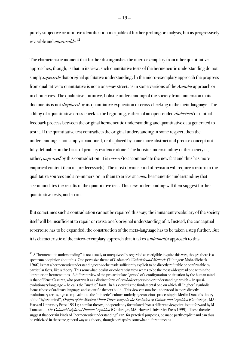purely subjective or intuitive identification incapable of further probing or analysis, but as progressively revisable and *improvable*. 42

The characteristic moment that further distinguishes the micro-exemplary from other quantitative approaches, though, is that in its view, such quantitative tests of the hermeneutic understanding do not simply *supersede* that original qualitative understanding. In the micro-exemplary approach the progress from qualitative to quantitative is not a one-way street, as in some versions of the *Annales* approach or in cliometrics. The qualitative, intuitive, holistic understanding of the society from immersion in its documents is not *displaced* by its quantitative explication or cross-checking in the meta-language. The adding of a quantitative cross-check is the beginning, rather, of an open-ended *dialectical* or mutualfeedback process between the original hermeneutic understanding and quantitative data generated to test it. If the quantitative test contradicts the original understanding in some respect, then the understanding is not simply abandoned, or displaced by some more abstract and precise concept not fully definable on the basis of primary evidence alone. The holistic understanding of the society is, rather, *improved* by this contradiction; it is *revised* to accommodate the new fact and thus has more empirical content than its predecessor(s). The most obvious kind of revision will require a return to the qualitative sources and a re-immersion in them to arrive at a *new* hermeneutic understanding that accommodates the results of the quantitative test. This new understanding will then suggest further quantitative tests, and so on.

But sometimes such a contradiction cannot be repaired this way; the immanent vocabulary of the society itself will be insufficient to repair or revise one's original understanding of it. Instead, the conceptual repertoire has to be expanded; the construction of the meta-language has to be taken a step further. But it is characteristic of the micro-exemplary approach that it takes a *minimalist* approach to this

 $^{42}$  A "hermeneutic understanding" is not usually or unequivocally regarded as corrigible in quite this way, though there is a spectrum of opinion about this. One pervasive theme of Gadamer's *Wahrheit und Methode* (Tübingen: Mohr/Siebeck 1960) is that a hermeneutic understanding can*not* be made sufficiently explicit to be directly refutable or confirmable by particular facts, like a theory. This somewhat idealist or coherentist view seems to be the most widespread one within the literature on hermeneutics. A different view of the pre-articulate "grasp" of a configuration or situation by the human mind is that of Ernst Cassirer, who portrays it as a distinct form of *symbolic* expression or understanding, which — in quasievolutionary language — he calls the "mythic" form. In his view it is the fundamental one on which all "higher" symbolic forms (those of ordinary language and scientific theory) build. This view can now be understood in more directly evolutionary terms, e.g. as equivalent to the "mimetic" culture underlying conscious processing in Merlin Donald's theory of the "hybrid mind", *Origins of the Modern Mind: Three Stages in the Evolution of Culture and Cognition* (Cambridge, MA: Harvard University Press 1991); a similar theory, independently formulated from a different viewpoint, is put forward by M. Tomasello, *The Cultural Origins of Human Cognition* (Cambridge, MA: Harvard University Press 1999). These theories suggest that certain kinds of "hermeneutic understanding" can, for practical purposes, be made partly explicit and can thus be criticized in the same general way as a theory, though perhaps by somewhat different means.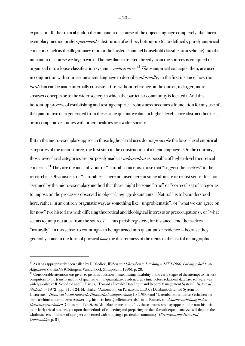expansion. Rather than abandon the immanent discourse of the object language completely, the microexemplary method prefers *piecemeal* substitution of ad-hoc, bottom-up (data-defined), purely empirical concepts (such as the illegitimacy ratio or the Laslett-Hammel household classification scheme) into the immanent discourse we began with. The raw data extracted directly from the sources is compiled or organized into a loose classification system, a *meta-source*. <sup>43</sup> *These* empirical concepts, then, are used in conjunction with source-immanent language to describe *informally*, in the first instance, how the *local* data can be made internally consistent (i.e. without reference, at the outset, to larger, more abstract concepts or to the wider society in which the particular community is located). And this bottom-up process of establishing and testing empirical robustness becomes a foundation for any use of the quantitative data generated from these same qualitative data in higher-level, more abstract theories, or in comparative studies with other localities or a wider society.

But in the micro-exemplary approach those higher-level uses do not *prescribe* the lower-level empirical categories of the meta-source, the first step in the construction of a meta-language. On the contrary, those lower-level categories are purposely made as *independent* as possible of higher-level theoretical concerns.  $^{44}$  They are the most obvious or "natural" concepts, those that "suggest themselves" to the researcher. Obviousness or "naturalness" here not used here in some ultimate or realist sense. It is not assumed by the micro-exemplary method that there might be some "true" or "correct" set of categories to impose on the processes observed in object-language documents. "Natural" is to be understood here, rather, in an entirely pragmatic way, as something like "unproblematic", or "what we can agree on for now" (we historians with differing theoretical and ideological interests or preoccupations), or "what seems to jump out at us from the sources". Thus parish registers, for instance, lend themselves "naturally", in this sense, to counting — to being turned into quantitative evidence — because they generally come in the form of physical *lists*; the discreteness of the items in the list (of demographic

<sup>43</sup> As it has appropriately been called by H. Medick, *Weben und Überleben in Laichingen 1650-1900. Lokalgeschichte als Allgemeine Geschichte* (Göttingen: Vandenhoek & Ruprecht, 1996), p. 28.

<sup>&</sup>lt;sup>44</sup> Considerable attention was given to just this question of maximizing flexibility in the early stages of the attempt to harness computers to the transformation of qualitative into quantitative evidence, at a time before relational database software was widely available; R. Schofield and R. Davies, "Toward a Flexible Data Input and Record Management System", *Historical Methods* 5 (1972), pp. 115-124; M. Thaller "Automation on Parnassus: CLIO, a Databank Oriented System for Historians", *Historical Social Research/Historische Sozialforschung* 15 (1980) and "Datenbankorientierte Verfahren bei der maschinenunterstützten Auswertung historischen Quellenmaterials", in T. Kneser, ed., *Datenverarbeitung in den Geisteswissenschaften* (Göttingen, 1980). As Alan Macfarlane put it, ". . . these processses may appear to the non-historian to be fairly trivial matters, yet upon the methods of collecting and preparing the data for subsequent analysis will depend the whole success or failure of a project concerned with studying a particular community" (*Reconstructing Historical Communities*, p. 81).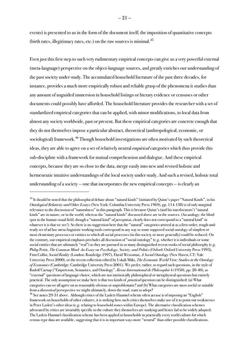$-21-$ 

events) is presented to us in the form of the document itself; the imposition of quantitative concepts (birth rates, illegitimacy rates, etc.) on the raw sources is minimal.  $45$ 

Even just this first step to such very rudimentary empirical concepts can give us a very powerful external (meta-language) perspective on the object-language sources, and greatly enriches our understanding of the past society under study. The accumulated household literature of the past three decades, for instance, provides a much more empirically robust and reliable grasp of the phenomena it studies than any amount of unguided immersion in household listings or literary evidence or censuses or other documents could possibly have afforded. The household literature provides the researcher with a set of standardized empirical categories that can be applied, with minor modifications, to local data from almost any society worldwide, past or present. But these empirical categories are concrete enough that they do not themselves impose a particular abstract, theoretical (anthropological, economic, or sociological) framework. $^{46}$  Though household investigations are often motivated by such theoretical ideas, they are able to agree on a set of relatively neutral *empirical* categories which thus provide this sub-discipline with a framework for mutual comprehension and dialogue. And these empirical concepts, because they are so close to the data, merge easily into new and revised holistic and hermeneutic intuitive understandings of the local society under study. And such a revised, holistic total understanding of a society — one that incorporates the new empirical concepts — is clearly an

 $^{45}$  It should be noted that the philosophical debate about "natural kinds" (initiated by Quine's paper "Natural Kinds", in his *Ontological Relativity and Other Essays* (New York: Columbia University Press 1969), pp. 114-138) is of only marginal relevance to the discussion of "naturalness" in this paragraph. This is because Quine's (and his interlocutors') "natural kinds" are in nature, or in the world, whereas the "natural kinds" discussed above are in the sources. (An analogy: the blind spot in the human visual field, though a "natural kind" of *perception*, clearly does not correspond to a "natural kind" in whatever it is that we see!) So there is no suggestion here that the "natural" categories arrived at as a first-order, rough-andready set of ad hoc meta-linguistic working tools correspond in any way to some supposed social *ontology* of simplest or most elementary processes or entities to which all social processes (in this society or more generally) could be reduced. On the contrary, our empirical emphasis precludes all discussion of "social ontology" (e.g. whether it is individuals or some social entities that are ultimately "real") as they are pursued in so many distinguished recent works of social philosophy (e.g. Philip Pettit, *The Common Mind: An Essay on Psychology, Society, and Politics* (Oxford: Oxford University Press 1993), Finn Collin, *Social Reality* (London: Routledge 1997), David Weissman, *A Social Ontology* (New Haven, CT: Yale University Press 2000), or the recent collection edited by Uskali Mäki, *The Economic World View: Studies in the Ontology of Economics* (Cambridge: Cambridge University Press 2001). We prefer, rather, to regard such questions, in the style of Rudolf Carnap ("Empiricism, Semantics, and Ontology", *Revue International de Philosophie* 4 (1950), pp. 20-40), as "external" questions of language choice, which are not intrinsically philosophical or metaphysical questions but entirely practical. The only assumption we make here is that two kinds of *practical* question can be distinguished: (a) What categories can we all agree on as reasonably obvious or unproblematic? and (b) What categories are most useful or suitable from a *theoretical* persepective we might ultimately, down the road, want to adopt?

 $^{46}$  See notes 29-31 above. Although critics of the Laslett-Hammel scheme often accuse it of imposing an "English" framework on households of other cultures, it is striking how such critics themselves make use of it to point out weaknesses in Peter Laslett's other ideas (e.g. relating to household zones within Europe). The alternative classification schemes advocated by critics are invariably specific to the culture they themselves are studying and hence fail to be widely adopted. The Laslett-Hammel classification scheme has been applied to households in practically every world culture for which census-type data are available, suggesting that it is in important ways more "neutral" than other possible classifications.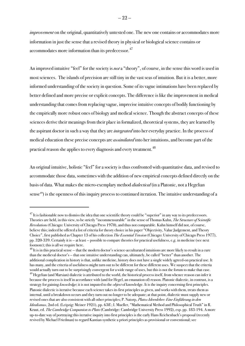*improvement* on the original, quantitatively untested one. The new one contains or accommodates more information in just the sense that a revised theory in physical or biological science contains or accommodates more information than its predecessor.<sup>47</sup>

An improved intuitive "feel" for the society is *not* a "theory", of course, in the sense this word is used in most sciences. The islands of precision are still tiny in the vast seas of intuition. But it is a better, more informed understanding of the society in question. Some of its vague intimations have been replaced by better defined and more precise or explicit concepts. The difference is like the improvement in medical understanding that comes from replacing vague, imprecise intuitive concepts of bodily functioning by the empirically more robust ones of biology and medical science. Though the abstract concepts of these sciences derive their meanings from their place in formalized, theoretical systems, they are learned by the aspirant doctor in such a way that they are *integrated* into her everyday practice. In the process of medical education these precise concepts are *assimilated* into her intuitions, and become part of the practical reason she applies to every diagnosis and every treatment.48

An original intuitive, holistic "feel" for a society is thus confronted with quantitative data, and revised to accommodate those data, sometimes with the addition of new empirical concepts defined directly on the basis of data. What makes the micro-exemplary method *dialectical* (in a Platonic, not a Hegelian sense<sup>49</sup>) is the openness of this inquiry process to continued iteration. The intuitive understanding of a

 $^{47}$  It is fashionable now to dismiss the idea that one scientific theory could be "superior" in any way to its predecessors. Theories are held, in this view, to be strictly "incommensurable" in the sense of Thomas Kuhn, *The Structure of Scientific Revolutions* (Chicago: University of Chicago Press 1970), and thus not comparable. Kuhn himself did not, of course, believe this; indeed he offered a list of criteria for theory choice in his paper "Objectivity, Value Judgement, and Theory Choice", first published as Chapter 13 of his collection *The Essential Tension* (Chicago: University of Chicago Press 1977), pp. 320-339. Certainly it is — at least — possible to compare theories for practical usefulness, e.g. in medicine (see next footnote); this is all we require here.

 $^{48}$  It is in this practical sense — that the modern doctor's science-acculturated intuitions are more likely to result in a cure than the medieval doctor's — that one intuitive understanding can, ultimately, be called "better" than another. The additional complication in history is that, unlike medicine, history does not have a single widely agreed-on practical use. It has many, and the criteria of usefulness might turn out to be different for these different uses. We suspect that the criteria would actually turn out to be surprisingly convergent for a wide range of uses, but this is not the forum to make that case. <sup>49</sup> Hegelian (and Marxian) dialectic is attributed to the world, the historical process itself, from whence reason can infer it because the process is itself in accordance with (and for Hegel, an emanation of) reason. Platonic dialectic, in contrast, is a strategy for gaining *knowledge*; it is not imputed to the *object* of knowledge. It is the inquiry concerning first principles. Platonic dialectic is iterative because each science takes its first principles as given, and works with them, treats them as internal, until a breakdown occurs and they turn out no longer to be adequate; at that point, dialectic must supply new or revised ones that are also consistent with all other principles; P. Natorp, *Platos Ideenlehre: Eine Einführung in den Idealismus*, 2nd ed. (Leipzig: Meiner 1921), pp. 63ff.; I. Mueller, "Mathematical Method and Philosophical Truth" in R. Kraut, ed. *The Cambridge Companion to Plato* (Cambridge: Cambridge Universtiy Press 1992), esp. pp. 183-194. A more up-to-date way of portraying this iterative inquiry into first principles is the early Hans Reichenbach's proposal (recently

revived by Michael Friedman) to regard Kantian synthetic a priori principles as provisional or conventional; see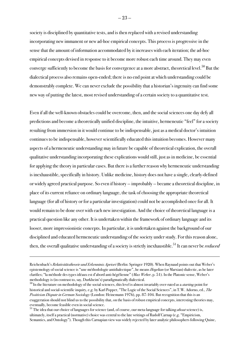society is disciplined by quantitative tests, and is then replaced with a revised understanding incorporating new immanent or new ad-hoc empirical concepts. This process is progressive in the sense that the amount of information accommodated by it increases with each iteration; the ad-hoc empirical concepts devised in response to it become more robust each time around. They may even converge sufficiently to become the basis for convergence at a more abstract, theoretical level. $^{50}\rm{B}$ ut the dialectical process also remains open-ended; there is no end point at which understanding could be demonstrably complete. We can never exclude the possibility that a historian's ingenuity can find some new way of putting the latest, most revised understanding of a certain society to a quantitative test.

Even if all the well-known obstacles could be overcome, then, and the social sciences one day defy all predictions and become a theoretically unified discipline, the intuitive, hermeneutic "feel" for a society resulting from immersion in it would continue to be indispensable, just as a medical doctor's intuition continues to be indispensable, however scientifically educated this intuition becomes. However many aspects of a hermeneutic understanding may in future be capable of theoretical explication, the overall qualitative understanding incorporating these explications would still, just as in medicine, be essential for applying the theory in particular cases. But there is a further reason why hermeneutic understanding is inexhaustible, specifically in history. Unlike medicine, history does not have a single, clearly-defined or widely agreed practical purpose. So even if history — improbably — became a theoretical discipline, in place of its current reliance on ordinary language, the task of choosing the appropriate theoretical language (for all of history or for a particular investigation) could not be accomplished once for all. It would remain to be done over with each new investigation. And the choice of theoretical language is a practical question like any other. It is undertaken within the framework of ordinary language and its looser, more impressionistic concepts. In particular, it is undertaken against the background of our disciplined and educated hermeneutic understanding of the society under study. For this reason alone, then, the overall qualitative understanding of a society is strictly inexhaustible.<sup>51</sup> It can never be *reduced* 

Reichenbach's *Relativitätstheorie und Erkenntnis Apriori* (Berlin: Springer 1920). When Raynaud points out that Weber's epistemology of social science is "une méthodologie antidialectique", he means *Hegelian* (or Marxian) dialectic, as he later clarifies; "la méthode des types idéaux est d'abord anti-hégélienne" (*Max Weber*, p. 51). In the Platonic sense, Weber's methodology is (in contrast to, say, Durkheim's) paradigmatically dialectical.

<sup>50</sup> In the literature on methodology of the social sciences, this level is almost invariably over-rated as a *starting* point for historical and social-scientific inquiry, e.g. by Karl Popper, "The Logic of the Social Sciences", in T.W. Adorno, ed., *The Positivism Dispute in German Sociology* (London: Heinemann 1976), pp. 87-104. But recognition that this is an exaggeration should not blind us to the possibility that, on the basis of robust empirical concepts, interesting theories may, eventually, become feasible even in social science.

<sup>51</sup> The idea that our choice of languages for science (and, of course, our meta-language for talking *about* science) is, ultimately, itself a practical (normative) choice was central to the late writings of Rudolf Carnap (e.g. "Empiricism, Semantics, and Ontology"). Though this Carnapian view was widely rejected by later analytic philosophers following Quine,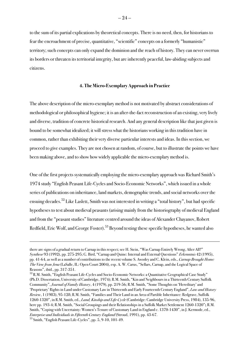to the sum of its partial explications by theoretical concepts. There is no need, then, for historians to fear the encroachment of precise, quantitative, "scientific" concepts on a formerly "humanistic" territory; such concepts can only expand the dominion and the reach of history. They can never overrun its borders or threaten its territorial integrity, but are inherently peaceful, law-abiding subjects and citizens.

### **4. The Micro-Exemplary Approach in Practice**

The above description of the micro-exemplary method is not motivated by abstract considerations of methodological or philosophical hygiene; it is an after-the-fact reconstruction of an existing, very lively and diverse, tradition of concrete historical research. And any general description like that just given is bound to be somewhat idealized; it will stress what the historians working in this tradition have in common, rather than exhibiting their very diverse particular interests and ideas. In this section, we proceed to give examples. They are not chosen at random, of course, but to illustrate the points we have been making above, and to show how widely applicable the micro-exemplary method is.

One of the first projects systematically employing the micro-exemplary approach was Richard Smith's 1974 study "English Peasant Life-Cycles and Socio-Economic Networks", which issued in a whole series of publications on inheritance, land markets, demographic trends, and social networks over the ensuing decades.<sup>52</sup> Like Laslett, Smith was not interested in writing a "total history", but had specific hypotheses to test about medieval peasants (arising mainly from the historiography of medieval England and from the "peasant studies" literature centred around the ideas of Alexander Chayanov, Robert Redfield, Eric Wolf, and George Foster).  $^{53}$  Beyond testing these specific hypotheses, he wanted also

there are signs of a gradual return to Carnap in this respect; see H. Stein, "Was Carnap Entirely Wrong, After All?" *Synthese* 93 (1992), pp. 275-295; G. Bird, "Carnap and Quine: Internal and External Questions" *Erkenntnis* 42 (1995), pp. 41-64, as well as a number of contributions to the recent volume S. Awodey and C. Klein, eds., *Carnap Brought Home: The View from Jena* (LaSalle, IL: Open Court 2004), esp. A. W. Carus, "Sellars, Carnap, and the Logical Space of Reasons", ibid., pp. 317-351.

 $^{52}$  R.M. Smith, "English Peasant Life-Cycles and Socio-Economic Networks: a Quantitative Geographical Case Study" (Ph.D. Dissertation, University of Cambridge, 1974); R.M. Smith, "Kin and Neighbours in a Thirteenth Century Suffolk Community", *Journal of Family History*, 4 (1979), pp. 219-56; R.M. Smith, "Some Thoughts on 'Hereditary' and 'Proprietary' Rights in Land under Customary Law in Thirteenth and Early Fourteenth Century England", *Law and History Review*, 1 (1983), 95-128; R.M. Smith, "Families and Their Land in an Area of Partible Inheritance: Redgrave, Suffolk 1260-1320", in R.M. Smith, ed., *Land, Kinship and Life-Cycle* (Cambridge: Cambridge University Press, 1984), 135-96, here pp. 193-4; R.M. Smith, "Social Groupings and their Relationships in a Suffolk Market Settlement 1260-1320"**;** R.M. Smith, "Coping with Uncertainty: Women's Tenure of Customary Land in England c. 1370-1430", in J. Kermode, ed., *Enterprise and Individuals in Fifteenth-Century England* (Stroud, 1991), pp. 43-67.

<sup>&</sup>lt;sup>53</sup> Smith, "English Peasant Life-Cycles", pp. 5, 9-10, 101-49.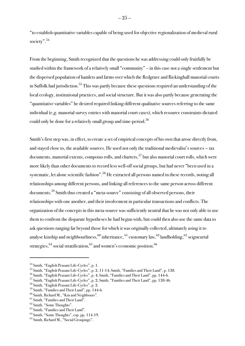"to establish quantitative variables capable of being used for objective regionalization of medieval rural society".<sup>54</sup>

From the beginning, Smith recognized that the questions he was addressing could only fruitfully be studied within the framework of a relatively small "community" – in this case not a single settlement but the dispersed population of hamlets and farms over which the Redgrave and Rickinghall manorial courts in Suffolk had jurisdiction.<sup>55</sup> This was partly because these questions required an understanding of the local ecology, institutional practices, and social structure. But it was also partly because generating the "quantitative variables" he desired required linking different qualitative sources referring to the same individual (e.g. manorial survey entries with manorial court cases), which resource constraints dictated could only be done for a relatively small group and time-period.<sup>56</sup>

Smith's first step was, in effect, to create a set of empirical concepts of his own that arose directly from, and stayed close to, the available sources. He used not only the traditional medievalist's sources — tax documents, manorial extents, compotus rolls, and charters,<sup>57</sup> but also manorial court rolls, which were more likely than other documents to record less well-off social groups, but had never "been used in a systematic, let alone scientific fashion".  $^{58}$  He extracted all persons named in these records, noting all relationships among different persons, and linking all references to the same person across different documents.<sup>59</sup> Smith thus created a "meta-source" consisting of all observed persons, their relationships with one another, and their involvement in particular transactions and conflicts. The organization of the concepts in this meta-source was sufficiently neutral that he was not only able to use them to confront the disparate hypotheses he had begun with, but could then also use the same data to ask questions ranging far beyond those for which it was originally collected, ultimately using it to analyse kinship and neighbourliness, $^{60}$  inheritance,  $^{61}$  customary law, $^{62}$  landholding, $^{63}$  seigneurial strategies, $^{64}$  social stratification, $^{65}$  and women's economic position. $^{66}$ 

<sup>&</sup>lt;sup>54</sup> Smith, "English Peasant Life-Cycles", p. 1.

<sup>&</sup>lt;sup>55</sup> Smith, "English Peasant Life-Cycles", p. 2, 11-14; Smith, "Families and Their Land", p. 138.

<sup>&</sup>lt;sup>56</sup> Smith, "English Peasant Life-Cycles", p. 4; Smith, "Families and Their Land", pp. 144-6.

<sup>&</sup>lt;sup>57</sup> Smith, "English Peasant Life-Cycles", p. 2; Smith, "Families and Their Land", pp. 138-46.

<sup>&</sup>lt;sup>58</sup> Smith, "English Peasant Life-Cycles", p. 2.

<sup>&</sup>lt;sup>59</sup> Smith, "Families and Their Land", pp. 144-6.

<sup>&</sup>lt;sup>60</sup> Smith, Richard M., "Kin and Neighbours".

<sup>&</sup>lt;sup>61</sup> Smith, "Families and Their Land".

<sup>&</sup>lt;sup>62</sup> Smith, "Some Thoughts".

<sup>&</sup>lt;sup>63</sup> Smith, "Families and Their Land".

<sup>64</sup> Smith, "Some Thoughts", esp. pp. 114-19.

<sup>&</sup>lt;sup>65</sup> Smith, Richard M., "Social Groupings".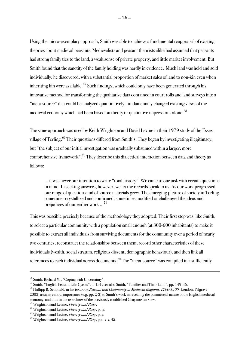Using the micro-exemplary approach, Smith was able to achieve a fundamental reappraisal of existing theories about medieval peasants. Medievalists and peasant theorists alike had assumed that peasants had strong family ties to the land, a weak sense of private property, and little market involvement. But Smith found that the sanctity of the family holding was hardly in evidence. Much land was held and sold individually, he discovered, with a substantial proportion of market sales of land to non-kin even when inheriting kin were available. $^{67}$  Such findings, which could only have been generated through his innovative method for transforming the qualitative data contained in court rolls and land surveys into a "meta-source" that could be analyzed quantitatively, fundamentally changed existing views of the medieval economy which had been based on theory or qualitative impressions alone.<sup>68</sup>

The same approach was used by Keith Wrightson and David Levine in their 1979 study of the Essex village of Terling.<sup>69</sup> Their questions differed from Smith's. They began by investigating illegitimacy, but "the subject of our initial investigation was gradually subsumed within a larger, more comprehensive framework". <sup>70</sup> They describe this dialectical interaction between data and theory as follows:

... it was never our intention to write "total history". We came to our task with certain questions in mind. In seeking answers, however, we let the records speak to us. As our work progressed, our range of questions and of source materials grew. The emerging picture of society in Terling sometimes crystallized and confirmed, sometimes modified or challenged the ideas and prejudices of our earlier work ...<sup>71</sup>

This was possible precisely because of the methodology they adopted. Their first step was, like Smith, to select a particular community with a population small enough (at 300-600 inhabitants) to make it possible to extract all individuals from surviving documents for the community over a period of nearly two centuries, reconstruct the relationships between them, record other characteristics of these individuals (wealth, social stratum, religious dissent, demographic behaviour), and then link all references to each individual across documents. $^{72}$  The "meta-source" was compiled in a sufficiently

<sup>&</sup>lt;sup>66</sup> Smith, Richard M., "Coping with Uncertainty".

 $^{67}$  Smith, "English Peasant Life-Cycles", p. 131; see also Smith, "Families and Their Land", pp. 149-86.

<sup>68</sup> Phillipp R. Schofield, in his textbook *Peasant and Community in Medieval England, 1200-1500* (London: Palgrave 2003) assigns central importance (e.g. pp. 2-3) to Smith's work in revealing the commercial nature of the English medieval economy, and thus in the overthrow of the previously established Chayanovian view.

<sup>69</sup> Wrightson and Levine, *Poverty and Piety*.

<sup>70</sup> Wrightson and Levine, *Poverty and Piety*, p. ix.

<sup>71</sup> Wrightson and Levine, *Poverty and Piety*, p. x.

<sup>72</sup> Wrightson and Levine, *Poverty and Piety*, pp. ix-x, 45.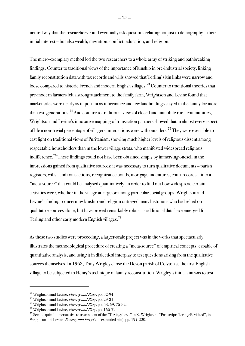neutral way that the researchers could eventually ask questions relating not just to demography – their initial interest – but also wealth, migration, conflict, education, and religion.

The micro-exemplary method led the two researchers to a whole array of striking and pathbreaking findings. Counter to traditional views of the importance of kinship in pre-industrial society, linking family reconstitution data with tax records and wills showed that Terling's kin links were narrow and loose compared to historic French and modern English villages.<sup>73</sup> Counter to traditional theories that pre-modern farmers felt a strong attachment to the family farm, Wrightson and Levine found that market sales were nearly as important as inheritance and few landholdings stayed in the family for more than two generations.<sup>74</sup> And counter to traditional views of closed and immobile rural communities, Wrightson and Levine's innovative mapping of transaction partners showed that in almost every aspect of life a non-trivial percentage of villagers' interactions were with outsiders. <sup>75</sup> They were even able to cast light on traditional views of Puritanism, showing much higher levels of religious dissent among respectable householders than in the lower village strata, who manifested widespread religious indifference.<sup>76</sup> These findings could not have been obtained simply by immersing oneself in the impressions gained from qualitative sources: it was necessary to turn qualitative documents – parish registers, wills, land transactions, recognizance bonds, mortgage indentures, court records – into a "meta-source" that could be analysed quantitatively, in order to find out how widespread certain activities were, whether in the village at large or among particular social groups. Wrightson and Levine's findings concerning kinship and religion outraged many historians who had relied on qualitative sources alone, but have proved remarkably robust as additional data have emerged for Terling and other early modern English villages.77

As these two studies were proceeding, a larger-scale project was in the works that spectacularly illustrates the methodological procedure of creating a "meta-source" of empirical concepts, capable of quantitative analysis, and using it in dialectical interplay to test questions arising from the qualitative sources themselves. In 1963, Tony Wrigley chose the Devon parish of Colyton as the first English village to be subjected to Henry's technique of family reconstitution. Wrigley's initial aim was to test

<sup>73</sup> Wrightson and Levine, *Poverty and Piety*, pp. 82-94.

<sup>74</sup> Wrightson and Levine, *Poverty and Piety*, pp. 29-31.

<sup>75</sup> Wrightson and Levine, *Poverty and Piety*, pp. 48, 69, 75-82.

<sup>76</sup> Wrightson and Levine, *Poverty and Piety*, pp. 165-72.

 $^{77}$  See the quiet but persuasive re-assessment of the "Terling thesis" in K. Wrightson, "Postscript: Terling Revisited", in Wrightson and Levine, *Poverty and Piety* (2nd expanded edn), pp. 197-220.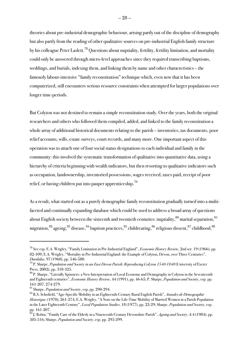theories about pre-industrial demographic behaviour, arising partly out of the discipline of demography but also partly from the reading of other qualitative sources on pre-industrial English family structure by his colleague Peter Laslett.<sup>78</sup> Questions about nuptiality, fertility, fertility limitation, and mortality could only be answered through micro-level approaches since they required transcribing baptisms, weddings, and burials, indexing them, and linking them by name and other characteristics – the famously labour-intensive "family reconstitution" technique which, even now that it has been computerized, still encounters serious resource constraints when attempted for larger populations over longer time-periods.

But Colyton was not destined to remain a simple reconstitution study. Over the years, both the original researchers and others who followed them compiled, added, and linked to the family reconstitution a whole array of additional historical documents relating to the parish – inventories, tax documents, poor relief accounts, wills, estate surveys, court records, and many more. One important aspect of this operation was to attach one of four social status designations to each individual and family in the community: this involved the systematic transformation of qualitative into quantitative data, using a hierarchy of criteria beginning with wealth indicators, but then resorting to qualitative indicators such as occupation, landownership, inventoried possessions, wages received, taxes paid, receipt of poor relief, or having children put into pauper apprenticeship.<sup>79</sup>

As a result, what started out as a purely demographic family reconstitution gradually turned into a multifaceted and continually expanding database which could be used to address a broad array of questions about English society between the sixteenth and twentieth centuries: nuptiality, $^{80}$  marital separation, $^{81}$ migration, $^{82}$  ageing, $^{83}$  disease, $^{84}$  baptism practices, $^{85}$  childrearing, $^{86}$  religious dissent, $^{87}$  childhood, $^{88}$ 

<sup>78</sup> See esp. E.A. Wrigley, "Family Limitation in Pre-Industrial England", *Economic History Review*, 2nd ser. 19 (1966), pp. 82-109; E.A. Wrigley, "Mortality in Pre-Industrial England: the Example of Colyton, Devon, over Three Centuries", *Daedalus*, 97 (1968), pp. 546-580.

<sup>&</sup>lt;sup>79</sup> P. Sharpe*, Population and Society in an East Devon Parish: Reproducing Colyton 1540-1840 (University of Exeter* Press, 2002), pp. 318-325.

 $^{80}$  P. Sharpe, "Literally Spinsters: a New Interpretation of Local Economy and Demography in Colyton in the Seventeenth and Eighteenth centuries", *Economic History Review*, 44 (1991), pp. 46-65; P. Sharpe, *Population and Society*, esp. pp. 161-207, 274-279.

<sup>81</sup> Sharpe, *Population and Society*, esp. pp. 290-294.

<sup>82</sup> R.S. Schofield, "Age-Specific Mobility in an Eighteenth-Century Rural English Parish", *Annales de Démographie Historique*, (1970), 261-274; E.A. Wrigley, "A Note on the Life-Time Mobility of Married Women in a Parish Population in the Later Eighteenth Century", *Local Population Studies*, 18 (1977), pp. 22-29; Sharpe, *Population and Society*, esp.

pp. 161-207. 83 J. Robin, "Family Care of the Elderly in a Nineteenth-Century Devonshire Parish", *Ageing and Society*, 4:4 (1984), pp. 505-516; Sharpe, *Population and Society*, esp. pp. 295-299.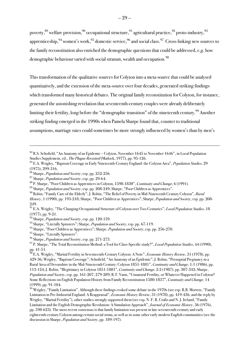poverty, $^{89}$  welfare provision, $^{90}$  occupational structure, $^{91}$  agricultural practice, $^{92}$  proto-industry, $^{93}$ apprenticeship, $^{94}$  women's work, $^{95}$  domestic service, $^{96}$  and social class. $^{97}$  Cross-linking new sources to the family reconstitution also enriched the demographic questions that could be addressed, e.g. how demographic behaviour varied with social stratum, wealth and occupation.<sup>98</sup>

This transformation of the qualitative sources for Colyton into a meta-source that could be analysed quantitatively, and the extension of the meta-source over four decades, generated striking findings which transformed many historical debates. The original family reconstitution for Colyton, for instance, generated the astonishing revelation that seventeenth-century couples were already deliberately limiting their fertility, long before the "demographic transition" of the nineteenth century.<sup>99</sup> Another striking finding emerged in the 1990s when Pamela Sharpe found that, counter to traditional assumptions, marriage rates could sometimes be more strongly influenced by women's than by men's

87 Sharpe, *Population and Society*, esp. pp. 29-64.

90 Robin, "Family Care of the Elderly"; J. Robin, "The Relief of Poverty in Mid-Nineteenth Century Colyton", *Rural History*, 1 (1990), pp. 193-218; Sharpe, "Poor Children as Apprentices"; Sharpe, *Population and Society*, esp. pp. 208- 249.

91 E.A. Wrigley, "The Changing Occupational Structure of Colyton over Two Centuries", *Local Population Studies*, 18 (1977), pp. 9-21.

<sup>95</sup> Sharpe, "Literally Spinsters".

 $^{84}$  R.S. Schofield, "An Anatomy of an Epidemic – Colyton, November 1645 to November 1646", in Local Population Studies Supplement, ed., *The Plague Revisited* (Matlock, 1977), pp. 95-126.

<sup>85</sup> E.A. Wrigley, "Baptism Coverage in Early Nineteenth-Century England: the Colyton Area", *Population Studies*, 29 (1975), 299-316.

<sup>86</sup> Sharpe, *Population and Society*, esp. pp. 252-256.

<sup>88</sup> P. Sharpe, "Poor Children as Apprentices in Colyton, 1598-1830", *Continuity and Change*, 6 (1991).

<sup>89</sup> Sharpe, *Population and Society*, esp. pp. 208-249; Sharpe, "Poor Children as Apprentices".

<sup>92</sup> Sharpe, *Population and Society*, esp. pp. 120-159.

<sup>93</sup> Sharpe, "Literally Spinsters"; Sharpe, *Population and Society*, esp. pp. 67-119.

<sup>94</sup> Sharpe, "Poor Children as Apprentices"; Sharpe, *Population and Society*, esp. pp. 256-270.

<sup>96</sup> Sharpe, *Population and Society*, esp. pp. 271-273.

<sup>97</sup> P. Sharpe, "The Total Reconstitution Method: a Tool for Class-Specific study?", *Local Population Studies*, 44 (1990), pp. 41-51.<br><sup>98</sup> E A Wei

E.A. Wrigley, "Marital Fertility in Seventeenth-Century Colyton: A Note", *Economic History Review*, 31 (1978), pp. 429-36; Wrigley, "Baptism Coverage"; Schofield, "An Anatomy of an Epidemic"; J. Robin, "Prenuptial Pregnancy in a Rural Area of Devonshire in the Mid-Nineteenth Century: Colyton 1851-1881", *Continuity and Change*, 1:1 (1986), pp. 113-124; J. Robin, "Illegitimacy in Colyton 1851-1881", *Continuity and Change*, 2:2 (1987), pp. 307-342; Sharpe, *Population and Society*, esp. pp. 161-207, 279-289; R.T. Vann, "Unnatural Fertility, or Whatever Happened in Colyton? Some Reflections on English Population History from Family Reconstitution 1580-1837", *Continuity and Change*, 14 (1999), pp. 91-104.

 $^{99}$  Wrigley, "Family Limitation". Although these findings evoked some debate in the 1970s (see esp. R.B. Morrow, "Family Limitation in Pre-Industrial England: A Reappraisal", *Economic History Review*, 31 (1978), pp. 419-436, and the reply by Wrigley, "Marital Fertility"), other studies strongly supported them (see esp. N. F. R. Crafts and N. J. Ireland, "Family Limitation and the English Demographic Revolution: A Simulation Approach", *Journal of Economic History*, 36 (1976), pp. 598-623). The most recent consensus is that family limitation was present in late seventeenth-century and early eighteenth-century Colyton among certain social strata, as well as in some other early modern English communities (see the discussion in Sharpe, *Population and Society*, pp. 189-197).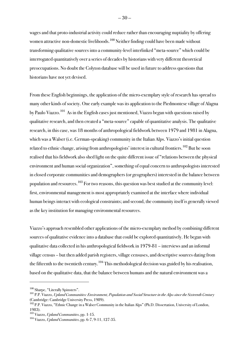$-30-$ 

wages and that proto-industrial activity could reduce rather than encouraging nuptiality by offering women attractive non-domestic livelihoods. $^{100}\,$ Neither finding could have been made without transforming qualitative sources into a community-level interlinked "meta-source" which could be interrogated quantitatively over a series of decades by historians with very different theoretical preoccupations. No doubt the Colyton database will be used in future to address questions that historians have not yet devised.

From these English beginnings, the application of the micro-exemplary style of research has spread to many other kinds of society. One early example was its application to the Piedmontese village of Alagna by Paulo Viazzo.<sup>101</sup> As in the English cases just mentioned, Viazzo began with questions raised by qualitative research, and then created a "meta-source" capable of quantitative analysis. The qualitative research, in this case, was 18 months of anthropological fieldwork between 1979 and 1981 in Alagna, which was a Walser (i.e. German-speaking) community in the Italian Alps. Viazzo's initial question related to ethnic change, arising from anthropologists' interest in cultural frontiers. <sup>102</sup> But he soon realised that his fieldwork also shed light on the quite different issue of "relations between the physical environment and human social organization", something of equal concern to anthropologists interested in closed corporate communities and demographers (or geographers) interested in the balance between population and resources.  $^{103}$  For two reasons, this question was best studied at the community level: first, environmental management is most appropriately examined at the interface where individual human beings interact with ecological constraints; and second, the community itself is generally viewed as the key institution for managing environmental resources.

Viazzo's approach resembled other applications of the micro-exemplary method by combining different sources of qualitative evidence into a database that could be explored quantitatively. He began with qualitative data collected in his anthropological fieldwork in 1979-81 – interviews and an informal village census – but then added parish registers, village censuses, and descriptive sources dating from the fifteenth to the twentieth century.  $^{104}$  This methodological decision was guided by his realisation, based on the qualitative data, that the balance between humans and the natural environment was a

<sup>&</sup>lt;sup>100</sup> Sharpe, "Literally Spinsters".

<sup>101</sup> P.P. Viazzo, *Upland Communities: Environment, Population and Social Structure in the Alps since the Sixteenth Century* (Cambridge: Cambridge University Press, 1989).

<sup>&</sup>lt;sup>102</sup> P.P. Viazzo, "Ethnic Change in a Walser Community in the Italian Alps" (Ph.D. Dissertation, University of London, 1983).

<sup>103</sup> Viazzo, *Upland Communities*, pp. 1-15.

<sup>104</sup> Viazzo, *Upland Communities*, pp. 6-7, 9-11, 127-35.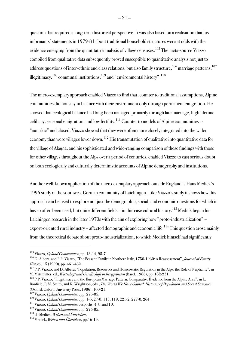question that required a long-term historical perspective. It was also based on a realisation that his informants' statements in 1979-81 about traditional household structures were at odds with the evidence emerging from the quantitative analysis of village censuses.  $^{105}$  The meta-source Viazzo compiled from qualitative data subsequently proved susceptible to quantitative analysis not just to address questions of inter-ethnic and class relations, but also family structure,  $^{106}$  marriage patterns,  $^{107}$ illegitimacy,  $^{108}$  communal institutions,  $^{109}$  and "environmental history".  $^{110}$ 

The micro-exemplary approach enabled Viazzo to find that, counter to traditional assumptions, Alpine communities did not stay in balance with their environment only through permanent emigration. He showed that ecological balance had long been managed primarily through late marriage, high lifetime celibacy, seasonal emigration, and low fertility. $^{111}$  Counter to models of Alpine communities as "autarkic" and closed, Viazzo showed that they were often more closely integrated into the wider economy than were villages lower down.<sup>112</sup> His transmutation of qualitative into quantitative data for the village of Alagna, and his sophisticated and wide-ranging comparison of these findings with those for other villages throughout the Alps over a period of centuries, enabled Viazzo to cast serious doubt on both ecologically and culturally deterministic accounts of Alpine demography and institutions.

Another well-known application of the micro-exemplary approach outside England is Hans Medick's 1996 study of the southwest German community of Laichingen. Like Viazzo's study it shows how this approach can be used to explore not just the demographic, social, and economic questions for which it has so often been used, but quite different fields – in this case cultural history. <sup>113</sup> Medick began his Laichingen research in the later 1970s with the aim of exploring how "proto-industrialization" – export-oriented rural industry – affected demographic and economic life.  $^{114}$  This question arose mainly from the theoretical debate about proto-industrialization, to which Medick himself had significantly

<sup>105</sup> Viazzo, *Upland Communities*, pp. 13-14, 95-7.

<sup>106</sup> D. Albera, and P.P. Viazzo, "The Peasant Family in Northern Italy, 1750-1930: A Reassessment", *Journal of Family History*, 15 (1990), pp. 461-482.

<sup>&</sup>lt;sup>107</sup> P.P. Viazzo, and D. Albera, "Population, Resources and Homeostatic Regulation in the Alps: the Role of Nuptiality", in M. Mattmüller, ed., *Wirtschaft und Gesellschaft in Berggebieten* (Basel, 1986), pp. 182-231.

<sup>&</sup>lt;sup>108</sup> P.P. Viazzo, "Illegitimacy and the European Marriage Pattern: Comparative Evidence from the Alpine Area", in L. Bonfield, R.M. Smith, and K. Wrightson, eds., *The World We Have Gained: Histories of Population and Social Structure* (Oxford: Oxford University Press, 1986), 100-21.

<sup>109</sup> Viazzo, *Upland Communities*, pp. 276-85.

<sup>110</sup> Viazzo, *Upland Communities*, pp. 1-5, 27-8, 113, 119, 221-2, 277-8, 264.

<sup>111</sup> Viazzo, *Upland Communities*, esp. chs. 4, 8, and 10.

<sup>112</sup> Viazzo, *Upland Communities*, pp. 276-85.

<sup>113</sup> H. Medick, *Weben und Überleben*.

<sup>114</sup> Medick, *Weben und Überleben*, pp.16-19.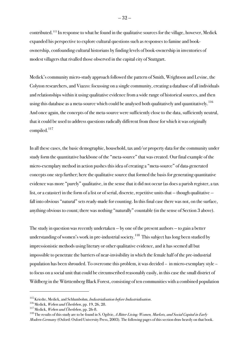contributed.<sup>115</sup> In response to what he found in the qualitative sources for the village, however, Medick expanded his perspective to explore cultural questions such as responses to famine and bookownership, confounding cultural historians by finding levels of book-ownership in inventories of modest villagers that rivalled those observed in the capital city of Stuttgart.

Medick's community micro-study approach followed the pattern of Smith, Wrightson and Levine, the Colyton researchers, and Viazzo: focussing on a single community, creating a database of all individuals and relationships within it using qualitative evidence from a wide range of historical sources, and then using this database as a meta-source which could be analysed both qualitatively and quantitatively.<sup>116</sup> And once again, the concepts of the meta-source were sufficiently close to the data, sufficiently neutral, that it could be used to address questions radically different from those for which it was originally compiled.<sup>117</sup>

In all these cases, the basic demographic, household, tax and/or property data for the community under study form the quantitative backbone of the "meta-source" that was created. Our final example of the micro-exemplary method in action pushes this idea of creating a "meta-source" of data-generated concepts one step further; here the qualitative source that formed the basis for generating quantitative evidence was more "purely" qualitative, in the sense that it did not occur (as does a parish register, a tax list, or a cataster) in the form of a list or of serial, discrete, repetitive units that — though qualitative fall into obvious "natural" sets ready-made for counting. In this final case there was not, on the surface, anything obvious to count; there was nothing "naturally" countable (in the sense of Section 3 above).

The study in question was recently undertaken — by one of the present authors — to gain a better understanding of women's work in pre-industrial society.<sup>118</sup> This subject has long been studied by impressionistic methods using literary or other qualitative evidence, and it has seemed all but impossible to penetrate the barriers of near-invisibility in which the female half of the pre-industrial population has been shrouded. To overcome this problem, it was decided – in micro-exemplary style – to focus on a social unit that could be circumscribed reasonably easily, in this case the small district of Wildberg in the Württemberg Black Forest, consisting of ten communities with a combined population

<sup>115</sup> Kriedte, Medick, and Schlumbohm, *Industrialisation before Industrialisation*.

<sup>116</sup> Medick, *Weben und Überleben*, pp. 19, 26, 28.

<sup>117</sup> Medick, *Weben und Überleben*, pp. 26-8.

<sup>118</sup> The results of this study are to be found in S. Ogilvie, *A Bitter Living: Women, Markets, and Social Capital in Early Modern Germany* (Oxford: Oxford University Press, 2003). The following pages of this section draw heavily on that book.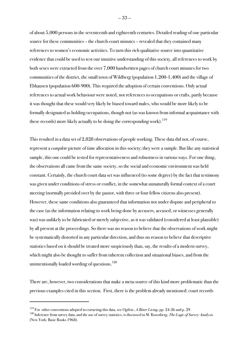of about 5,000 persons in the seventeenth and eighteenth centuries. Detailed reading of one particular source for these communities – the church-court minutes – revealed that they contained many references to women's economic activities. To turn this rich qualitative source into quantitative evidence that could be used to test our intuitive understanding of this society, all references to work by both sexes were extracted from the over 7,000 handwritten pages of church court minutes for two communities of the district, the small town of Wildberg (population 1,200-1,400) and the village of Ebhausen (population 600-900). This required the adoption of certain conventions. Only actual references to actual work behaviour were noted, not references to occupations or crafts, partly because it was thought that these would very likely be biased toward males, who would be more likely to be formally designated as holding occupations, though not (as was known from informal acquaintance with these records) more likely actually to be doing the corresponding work).<sup>119</sup>

This resulted in a data set of 2,828 observations of people working. These data did not, of course, represent a *complete* picture of time allocation in this society; they were a sample. But like any statistical sample, this one could be tested for representativeness and robustness in various ways. For one thing, the observations all came from the same society, so the social and economic environment was held constant. Certainly, the church court data set was influenced (to some degree) by the fact that testimony was given under conditions of stress or conflict, in the somewhat unnaturally formal context of a court meeting (normally presided over by the pastor, with three or four fellow citizens also present). However, these same conditions also guaranteed that information not under dispute and peripheral to the case (as the information relating to work being done by accusers, accused, or witnesses generally was) was unlikely to be fabricated or merely subjective, as it was validated (considered at least plausible) by all present at the proceedings. So there was no reason to believe that the observations of work might be systematically distorted in any particular direction, and thus no reason to believe that descriptive statistics based on it should be treated more suspiciously than, say, the results of a modern survey, which might also be thought to suffer from inherent collection and situational biases, and from the unintentionally loaded wording of questions.<sup>120</sup>

There are, however, two considerations that make a meta-source of this kind more problematic than the previous examples cited in this section. First, there is the problem already mentioned: court records

 $\overline{a}$ 

 $-33-$ 

<sup>119</sup> For other conventions adopted in extracting this data, see Ogilvie, *A Bitter Living*, pp. 24-26 and p. 29.

<sup>120</sup> Inference from survey data, and the use of survey statistics, is discussed in M. Rosenberg, *The Logic of Survey Analysis* (New York: Basic Books 1968).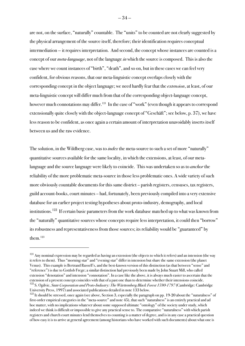are not, on the surface, "naturally" countable. The "units" to be counted are not clearly suggested by the physical arrangement of the source itself, therefore; their identification requires conceptual intermediation — it requires interpretation. And second, the concept whose instances are counted is a concept of our *meta-language*, not of the language *in* which the source is composed. This is also the case where we count instances of "birth", "death", and so on, but in these cases we can feel very confident, for obvious reasons, that our meta-linguistic concept overlaps closely with the corresponding concept in the object language; we need hardly fear that the *extension*, at least, of our meta-linguistic concept will differ much from that of the corresponding object-language concept, however much connotations may differ.<sup>121</sup> In the case of "work" (even though it appears to correspond extensionally quite closely with the object-language concept of "Geschäft"; see below, p. 37), we have less reason to be confident, as once again a certain amount of interpretation unavoidably inserts itself between us and the raw evidence.

The solution, in the Wildberg case, was to *index* the meta-source to such a set of more "naturally" quantitative sources available for the same locality, in which the extensions, at least, of our metalanguage and the source language were likely to coincide. This was undertaken so as to *anchor* the reliability of the more problematic meta-source in those less problematic ones. A wide variety of such more obviously countable documents for this same district – parish registers, censuses, tax registers, guild account-books, court minutes – had, fortunately, been previously compiled into a very extensive database for an earlier project testing hypotheses about proto-industry, demography, and local institutions. <sup>122</sup> If certain basic parameters from the work database matched up to what was known from the "naturally" quantitative sources whose concepts require less interpretation, it could then "borrow" its robustness and representativeness from those sources; its reliability would be "guaranteed" by them.123

 $^{121}$  Any nominal expression may be regarded as having an extension (the objects to which it refers) and an intension (the way it refers to them). Thus "morning star" and "evening star" differ in intension but share the same extension (the planet Venus). This example is Bertrand Russell's, and the best-known version of this distinction (as that between "sense" and "reference") is due to Gottlob Frege; a similar distinction had previously been made by John Stuart Mill, who called extension "denotation" and intension "connotation". In a case like the above, it is always much easier to ascertain that the extension of a present concept coincides with that of a past one than to determine whether their intensions coincide. <sup>122</sup> S. Ogilvie, *State Corporatism and Proto-Industry: The Württemberg Black Forest 1590-1797* (Cambridge: Cambridge

University Press, 1997) and associated publications detailed in note 133 below.

 $^{123}$  It should be stressed, once again (see above, Section 3, especially the paragraph on pp. 19-20 about the "naturalness" of first-order empirical categories in the "meta-source" and note 45), that such "naturalness" is an entirely practical and ad hoc matter, with no implications whatever about some supposed ultimate "ontology" of the society under study, which indeed we think is difficult or impossible to give any practical sense to. The comparative "naturalness" with which parish registers and church court minutes lend themselves to counting is a matter of degree, and is in any case a practical question of how easy it is to arrive at general agreement (among historians who have worked with such documents) about what one is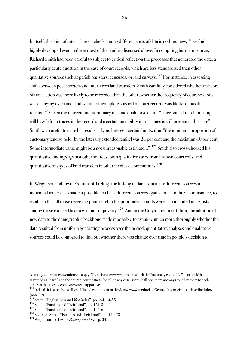In itself, this kind of internal cross-check among different sorts of data is nothing new;124 we find it highly developed even in the earliest of the studies discussed above. In compiling his meta-source, Richard Smith had been careful to subject to critical reflection the processes that generated the data, a particularly acute question in the case of court records, which are less standardized than other qualitative sources such as parish registers, censuses, or land surveys. $^{125}$  For instance, in assessing shifts between post-mortem and inter-vivos land transfers, Smith carefully considered whether one sort of transaction was more likely to be recorded than the other, whether the frequency of court sessions was changing over time, and whether incomplete survival of court records was likely to bias the results.<sup>126</sup> Given the inherent indeterminacy of some qualitative data – "since some kin relationships will have left no traces in the record and a certain instability in surnames is still present at this date" – Smith was careful to state his results as lying between certain limits: thus "the minimum proportion of customary land so held [by the laterally extended family] was 24 per cent and the maximum 40 per cent. Some intermediate value might be a not unreasonable estimate...". <sup>127</sup> Smith also cross-checked his quantitative findings against other sources, both qualitative cases from his own court rolls, and quantitative analyses of land transfers in other medieval communities.<sup>128</sup>

In Wrightson and Levine's study of Terling, the linking of data from many different sources to individual names also made it possible to check different sources against one another – for instance, to establish that all those receiving poor relief in the poor rate accounts were also included in tax lists among those excused tax on grounds of poverty. $^{129}$  And in the Colyton reconstitution, the addition of new data to the demographic backbone made it possible to examine much more thoroughly whether the data resulted from uniform generating process over the period: quantitative analyses and qualitative sources could be compared to find out whether there was change over time in people's decision to

counting and what conventions to apply. There is no *ultimate* sense in which the "naturally countable" data could be regarded as "hard" and the church-court data as "soft"; in any case, as we shall see, there are ways to index them to each other so that they become *mutually* supportive.

<sup>124</sup> Indeed, it is already a well-established component of the *hermeneutic* method of German historicism, as described above (note 39).

<sup>&</sup>lt;sup>125</sup> Smith, "English Peasant Life-Cycles", pp. 2-4, 14-55.

<sup>&</sup>lt;sup>126</sup> Smith, "Families and Their Land", pp. 151-3.

<sup>&</sup>lt;sup>127</sup> Smith, "Families and Their Land", pp. 145-6.

 $128$  See, e.g., Smith, "Families and Their Land", pp. 159-73.

<sup>129</sup> Wrightson and Levine *Poverty and Piety*, p. 34.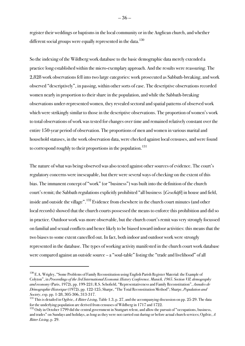register their weddings or baptisms in the local community or in the Anglican church, and whether different social groups were equally represented in the data.<sup>130</sup>

So the indexing of the Wildberg work database to the basic demographic data merely extended a practice long established within the micro-exemplary approach. And the results were reassuring. The 2,828 work observations fell into two large categories: work prosecuted as Sabbath-breaking, and work observed "descriptively", in passing, within other sorts of case. The descriptive observations recorded women nearly in proportion to their share in the population, and while the Sabbath-breaking observations under-represented women, they revealed sectoral and spatial patterns of observed work which were strikingly similar to those in the descriptive observations. The proportion of women's work to total observations of work was tested for changes over time and remained relatively constant over the entire 150-year period of observation. The proportions of men and women in various marital and household statuses, in the work observation data, were checked against local censuses, and were found to correspond roughly to their proportions in the population.<sup>131</sup>

The nature of what was being observed was also tested against other sources of evidence. The court's regulatory concerns were inescapable, but there were several ways of checking on the extent of this bias. The immanent concept of "work" (or "business") was built into the definition of the church court's remit; the Sabbath regulations explicitly prohibited "all business [*Geschäft*] in house and field, inside and outside the village". <sup>132</sup> Evidence from elsewhere in the church court minutes (and other local records) showed that the church courts possessed the means to enforce this prohibition and did so in practice. Outdoor work was more observable, but the church court's remit was very strongly focussed on familial and sexual conflicts and hence likely to be biased toward indoor activities: this means that the two biases to some extent cancelled out. In fact, both indoor and outdoor work were strongly represented in the database. The types of working activity manifested in the church court work database were compared against an outside source – a "soul-table" listing the "trade and livelihood" of all

 $^{130}$  E.A. Wrigley, "Some Problems of Family Reconstitution using English Parish Register Material: the Example of Colyton", in *Proceedings of the 3rd International Economic History Conference, Munich, 1965. Section VII, demography and economy* (Paris, 1972), pp. 199-221; R.S. Schofield, "Representativeness and Family Reconstitution", *Annales de Démographie Historique* (1972), pp. 122-125; Sharpe, "The Total Reconstitution Method"; Sharpe, *Population and Society*, esp. pp. 1-28, 305-306, 313-317.

<sup>&</sup>lt;sup>131</sup> This is detailed in Ogilvie, *A Bitter Living*, Table 1.3, p. 27, and the accompanying discussion on pp. 25-29. The data for the underlying population are derived from censuses of Wildberg in 1717 and 1722.

<sup>&</sup>lt;sup>132</sup> Only in October 1799 did the central government in Stuttgart relent, and allow the pursuit of "occupations, business, and trades" on Sundays and holidays, as long as they were not carried out during or before actual church services; Ogilvie, *A Bitter Living*, p. 29.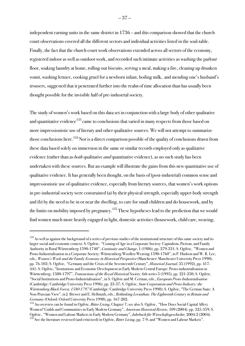independent earning units in the same district in 1736 – and this comparison showed that the church court observations covered all the different sectors and individual activities listed in the soul-table. Finally, the fact that the church court work observations extended across all sectors of the economy, registered indoor as well as outdoor work, and recorded such intimate activities as washing the parlour floor, soaking laundry at home, rolling out biscuits, serving a meal, making a fire, cleaning up drunken vomit, washing lettuce, cooking gruel for a newborn infant, boiling milk, and mending one's husband's trousers, suggested that it penetrated further into the realm of time allocation than has usually been thought possible for the invisible half of pre-industrial society.

The study of women's work based on this data set in conjunction with a large body of other qualitative and quantitative evidence $^{133}$  came to conclusions that varied in many respects from those based on more impressionistic use of literary and other qualitative sources. We will not attempt to summarize those conclusions here.  $^{134}\,$  Nor is a direct comparison possible of the quality of conclusions drawn from these data based solely on immersion in the same or similar records employed only as qualitative evidence (rather than as *both* qualitative *and* quantitative evidence), as no such study has been undertaken with these sources. But an example will illustrate the gains from this new quantitative use of qualitative evidence. It has generally been thought, on the basis of (post-industrial) common sense and impressionistic use of qualitative evidence, especially from literary sources, that women's work options in pre-industrial society were constrained (a) by their physical strength, especially upper-body strength and (b) by the need to be in or near the dwelling, to care for small children and do housework, and by the limits on mobility imposed by pregnancy.<sup>135</sup> These hypotheses lead to the prediction that we would find women much more heavily engaged in light, domestic activities (housework, child care, weaving,

 $^{133}$  As well as against the background of a series of previous studies of the institutional structure of this same society and its larger social and economic context: S. Ogilvie, "Coming of Age in a Corporate Society: Capitalism, Pietism, and Family Authority in Rural Württemberg 1590-1740", *Continuity and Change*, 1 (1986), pp. 279-331; S. Ogilvie, "Women and Proto-Industrialisation in a Corporate Society: Württemberg Woollen Weaving 1590-1760", in P. Hudson and W. R. Lee, eds., *Women's Work and the Family Economy in Historical Perspective* (Manchester: Manchester University Press 1990), pp. 76-103; S. Ogilvie, "Germany and the Crisis of the Seventeenth Century", *Historical Journal*, 35 (1992), pp. 417- 441; S. Ogilvie, "Institutions and Economic Development in Early Modern Central Europe: Proto-industrialisation in Württemberg, 1580-1797", *Transactions of the Royal Historical Society*, 6th series 5 (1995), pp. 221-250; S. Ogilvie, "Social Institutions and Proto-Industrialisation", in S. Ogilvie and M. Cerman, eds., *European Proto-Industrialisation* (Cambridge: Cambridge University Press 1996), pp. 23-37; S. Ogilvie, *State Corporatism and Proto-Industry: the Württemberg Black Forest, 1580-1797* (Cambridge: Cambridge University Press 1998); S. Ogilvie, "The German State: A Non-Prussian View", in J. Brewer and E. Hellmuth, eds., *Rethinking Leviathan: The Eighteenth Century in Britain and Germany* (Oxford: Oxford University Press 1998), pp. 167-202.

<sup>134</sup> An overview can be found in Ogilvie, *Bitter Living*, Chapter 7; see also S. Ogilvie, "How Does Social Capital Affect Women? Guilds and Communities in Early Modern Germany", *American Historical Review,* 109 (2004), pp. 325-359; S. Ogilvie, "Women and Labour Markets in Early Modern Germany", *Jahrbuch für Wirtschaftsgeschichte,* 2004:2 (2004). <sup>135</sup> See the literature reviewed (and criticized) in Ogilvie, *Bitter Living*, pp. 7-9, and "Women and Labour Markets".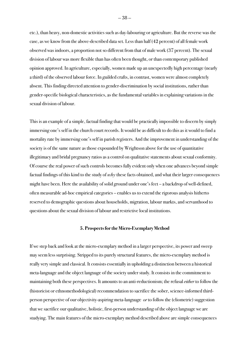etc.), than heavy, non-domestic activities such as day-labouring or agriculture. But the reverse was the case, as we know from the above-described data set. Less than half (42 percent) of all female work observed was indoors, a proportion not so different from that of male work (37 percent). The sexual division of labour was more flexible than has often been thought, or than contemporary published opinion approved. In agriculture, especially, women made up an unexpectedly high percentage (nearly a third) of the observed labour force. In guilded crafts, in contrast, women were almost completely absent. This finding directed attention to gender-discrimination by social institutions, rather than gender-specific biological characteristics, as the fundamental variables in explaining variations in the sexual division of labour.

This is an example of a simple, factual finding that would be practically impossible to discern by simply immersing one's self in the church court records. It would be as difficult to do this as it would to find a mortality rate by immersing one's self in parish registers. And the improvement in understanding of the society is of the same nature as those expounded by Wrightson above for the use of quantitative illegitimacy and bridal pregnancy ratios as a control on qualitative statements about sexual conformity. Of course the real power of such controls becomes fully evident only when one advances beyond simple factual findings of this kind to the study of *why* these facts obtained, and what their larger consequences might have been. Here the availability of solid ground under one's feet – a backdrop of well-defined, often measurable ad-hoc empirical categories – enables us to extend the rigorous analysis hitherto reserved to demographic questions about households, migration, labour markts, and servanthood to questions about the sexual division of labour and restrictive local institutions.

#### **5. Prospects for the Micro-Exemplary Method**

If we step back and look at the micro-exemplary method in a larger perspective, its power and sweep may seem less surprising. Stripped to its purely structural features, the micro-exemplary method is really very simple and classical. It consists essentially in upholding a distinction between a historical meta-language and the object language of the society under study. It consists in the commitment to maintaining both these perspectives. It amounts to an anti-reductionism; the refusal *either* to follow the (historicist or ethnomethodological) recommendation to sacrifice the sober, science-informed thirdperson perspective of our objectivity-aspiring meta-language *or* to follow the (cliometric) suggestion that we sacrifice our qualitative, holistic, first-person understanding of the object language we are studying. The main features of the micro-exemplary method described above are simple consequences

 $-38-$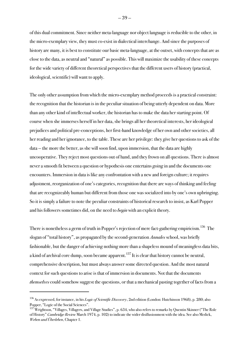of this dual commitment. Since neither meta-language nor object language is reducible to the other, in the micro-exemplary view, they must co-exist in dialectical interchange. And since the purposes of history are many, it is best to constitute our basic meta-language, at the outset, with concepts that are as close to the data, as neutral and "natural" as possible. This will maximize the usability of these concepts for the wide variety of different theoretical perspectives that the different users of history (practical, ideological, scientific) will want to apply.

The only other assumption from which the micro-exemplary method proceeds is a practical constraint: the recognition that the historian is in the peculiar situation of being utterly dependent on data. More than any other kind of intellectual worker, the historian has to make the data her starting point. Of course when she immerses herself in her data, she brings all her theoretical interests, her ideological prejudices and political pre-conceptions, her first-hand knowledge of her own and other societies, all her reading and her ignorance, to the table. These are her privilege: they give her questions to ask of the data — the more the better, as she will soon find, upon immersion, that the data are highly uncooperative. They reject most questions out of hand, and they frown on all questions. There is almost never a smooth fit between a question or hypothesis one entertains going in and the documents one encounters. Immersion in data is like any confrontation with a new and foreign culture; it requires adjustment, reorganization of one's categories, recognition that there are ways of thinking and feeling that are recognizeably human but different from those one was socialized into by one's own upbringing. So it is simply a failure to note the peculiar constraints of historical research to insist, as Karl Popper and his followers sometimes did, on the need to *begin* with an explicit theory.

There is nonetheless a germ of truth in Popper's rejection of mere fact-gathering empiricism. $^{136}\,$  The slogan of "total history", as propagated by the second-generation *Annales* school, was briefly fashionable, but the danger of achieving nothing more than a shapeless mound of meaningless data bits, a kind of archival core dump, soon became apparent. $^{137}$  It is clear that history cannot be neutral, comprehensive description, but must always answer some directed question. And the most natural context for such questions to arise is that of immersion in documents. Not that the documents *themselves* could somehow suggest the questions, or that a mechanical pasting together of facts from a

<sup>136</sup> As expressed, for instance, in his *Logic of Scientific Discovery*, 2nd edition (London: Hutchinson 1968), p. 280; also Popper, "Logic of the Social Sciences".

<sup>137</sup> Wrightson, "Villages, Villagers, and Village Studies", p. 634, who also refers to remarks by Quentin Skinner ("The Role of History" *Cambridge Review* March 1974, p. 102) to indicate the wider disillusionment with the idea. See also Medick, *Weben und Überleben*, Chapter 1.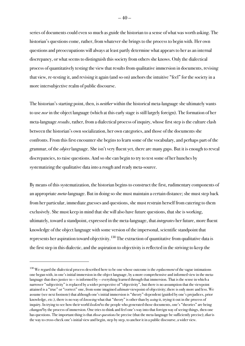series of documents could even so much as guide the historian to a sense of what was worth asking. The historian's questions come, rather, from whatever she brings to the process to begin with. Her own questions and preoccupations will always at least partly determine what appears to her as an internal discrepancy, or what seems to distinguish this society from others she knows. Only the dialectical process of quantitatively testing the view that results from qualitative immersion in documents, revising that view, re-testing it, and revising it again (and so on) anchors the intuitive "feel" for the society in a more intersubjective realm of public discourse.

The historian's starting point, then, is *neither* within the historical meta-language she ultimately wants to use *nor* in the object language (which at this early stage is still largely foreign). The formation of her meta-language *results*, rather, from a dialectical process of inquiry, whose first step is the culture clash between the historian's own socialization, her own categories, and those of the documents she confronts. From this first encounter she begins to learn some of the vocabulary, and perhaps part of the grammar, of the *object* language. She isn't very fluent yet, there are many gaps. But it is enough to reveal discrepancies, to raise questions. And so she can begin to try to test some of her hunches by systematizing the qualitative data into a rough and ready meta-source.

By means of this systematization, the historian begins to construct the first, rudimentary components of an appropriate *meta*-language. But in doing so she must maintain a certain distance; she must step back from her particular, immediate guesses and questions, she must restrain herself from catering to them exclusively. She must keep in mind that she will also have future questions, that she is working, ultimately, toward a standpoint, expressed in the meta-language, that *integrates* her future, more fluent knowledge of the object language with some version of the impersonal, scientific standpoint that represents her aspiration toward objectivity. <sup>138</sup> The extraction of quantitative from qualitative data is the first step in this dialectic, and the aspiration to objectivity is reflected in the striving to keep the

<sup>138</sup> We regard the dialectical process described here to be one whose outcome is the *replacement* of the vague intimations one began with, in one's initial immersion in the object language, by a more comprehensive and informed view in the metalanguage that does justice to  $-$  is informed by  $-$  everything learned through that immersion. That is the sense in which a narrower "subjectivity" is replaced by a wider perspective of "objectivity", but there is no assumption that the viewpoint attained is a "true" or "correct" one, from some imagined *ultimate* viewpoint of objectivity; there is only more and less. We assume (see next footnote) that although one's initial immersion is "theory"-dependent (guided by one's prejudices, prior knowledge, etc.), there is no way of *knowing* what that "theory" is other than by *using* it, trying it out in the process of inquiry. In trying to see how their world *looked* to the people who generated those documents, one's "theories" are being *changed* by the process of immersion. One tries to think and feel one's way into that foreign way of seeing things, then one has questions. The important thing is that *those questions* be precise (that the meta-language be sufficiently precise); *that* is the way to cross-check one's initial view and begin, step by step, to anchor it in a public discourse, a wider view.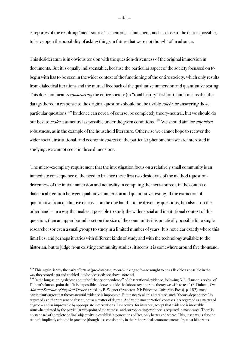categories of the resulting "meta-source" as neutral, as immanent, and as close to the data as possible, to leave open the possibility of asking things in future that were not thought of in advance.

This desideratum is in obvious tension with the question-drivenness of the original immersion in documents. But it is equally indispensable, because the particular aspect of the society focussed on to begin with has to be seen in the wider context of the functioning of the entire society, which only results from dialectical iterations and the mutual feedback of the qualitative immersion and quantitative testing. This does not mean *reconstructing* the entire society (in "total history" fashion), but it means that the data gathered in response to the original questions should not be usable *solely* for answering those particular questions.<sup>139</sup> Evidence can never, of course, be completely theory-neutral, but we should do our best to *make* it as neutral as possible under the given conditions.140 We should aim for *empirical* robustness, as in the example of the household literature. Otherwise we cannot hope to recover the wider social, institutional, and economic *context* of the particular phenomenon we are interested in studying, we cannot see it in three dimensions.

 The micro-exemplary requirement that the investigation focus on a relatively small community is an immediate consequence of the need to balance these first two desiderata of the method (questiondrivenness of the initial immersion and neutrality in compiling the meta-source), in the context of dialectical iteration between qualitative immersion and quantitative testing. If the extraction of quantitative from qualitative data is  $-$  on the one hand  $-$  to be driven by questions, but also  $-$  on the other hand — in a way that makes it possible to study the wider social and institutional context of this question, then an upper bound is set on the size of the community it is practically possible for a single researcher (or even a small group) to study in a limited number of years. It is not clear exactly where this limit lies, and perhaps it varies with different kinds of study and with the technology available to the historian, but to judge from existing community studies, it seems it is somewhere around five thousand.

 $^{139}$  This, again, is why the early efforts at (pre-database) record-linking software sought to be as flexible as possible in the way they stored data and enabled it to be accessed; see above, note 44.

 $^{140}$  In the long-running debate about the "theory-dependence" of observational evidence, following N.R. Hanson's revival of Duhem's famous point that "it is impossible to leave outside the laboratory door the theory we wish to test" (P. Duhem, *The Aim and Structure of Physical Theory*, transl. by P. Wiener (Princeton, NJ: Princeton University Press), p. 182), most participants agree that theory-neutral evidence is impossible. But in nearly all this literature, such "theory-dependence" is regarded as either present or absent, not as a matter of degree. And yet in most practical contexts it *is* regarded as a matter of degree — and as improvable by appropriate interventions. Law courts, for instance, accept that evidence is inevitably somewhat tainted by the particular viewpoint of the witness, and corroborating evidence is required in most cases. There is no standard of complete or final objectivity in establishing questions of fact, only better and worse. This, it seems, is also the attitude implicitly adopted in practice (though less consistently in their theoretical pronouncements) by most historians.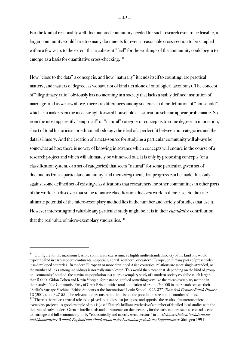For the kind of reasonably well-documented community needed for such research even to be feasible, a larger community would have too many documents for even a reasonable cross-section to be sampled within a few years to the extent that a coherent "feel" for the workings of the community could begin to emerge as a basis for quantitative cross-checking.<sup>141</sup>

How "close to the data" a concept is, and how "naturally" it lends itself to counting, are practical matters, and matters of degree, as we saw, not of kind (let alone of ontological taxonomy). The concept of "illegitimacy ratio" obviously has no meaning in a society that lacks a stably defined institution of marriage, and as we saw above, there are differences among societies in their definition of "household", which can make even the most straightforward household classification scheme appear problematic. So even the most apparently "empirical" or "natural" category or concept is to some degree an imposition; short of total historicism or ethnomethodology the ideal of a perfect fit between our categories and the data is illusory. And the creation of a meta-source for studying a particular community will always be somewhat ad hoc; there is no way of knowing in advance which concepts will endure in the course of a research project and which will ultimately be winnowed out. It is only by proposing concepts (or a classification system, or a set of categories) that seem "natural" for some particular, given set of documents from a particular community, and then *using* them, that progress can be made. It is only against some defined set of existing classifications that researchers for other communities in other parts of the world can discover that some tentative classification does *not* work in their case. So the true ultimate potential of the micro-exemplary method lies in the number and variety of studies that use it. However interesting and valuable any particular study might be, it is in their *cumulative* contribution that the real value of micro-exemplary studies lies.<sup>142</sup>

<sup>&</sup>lt;sup>141</sup> Our figure for the maximum feasible community size assumes a highly multi-stranded society of the kind one would expect to find in early modern continental (especially cental, southern, or eastern) Europe, or in many parts of present-day less-developed countries. In modern European or more developed Asian countries, relations are more single-stranded, so the number of links among individuals is normally much lower. This would then mean that, depending on the kind of group or "community" studied, the maximum population in a micro-exemplary study of a modern society could be much larger than 5,000. Gidon Cohen and Kevin Morgan, for instance, applied something very like the micro-exemplary method in their study of the Communist Party of Great Britain, with a total population of around 20,000 in their database; see their "Stalin's Sausage Machine: British Students at the International Lenin School 1926-37", *Twentieth-Century British History* 13 (2002), pp. 327-55. The relevant upper constraint, then, is not the population size but the number of links.

<sup>&</sup>lt;sup>142</sup> There is therefore a crucial role to be played by studies that juxtapose and appraise the results of numerous microexemplary projects. A good example of this is Josef Ehmer's brilliant synthesis of a number of detailed local studies with the theories of early modern German intellectuals and bureaucrats on the necessity for the early modern state to control access to marriage and full economic rights by "economically and morally weak persons" in his *Heiratsverhalten, Sozialstruktur und ökonomischer Wandel: England und Mitteleuropa in der Formationsperiode des Kapitalismus* (Göttingen 1991).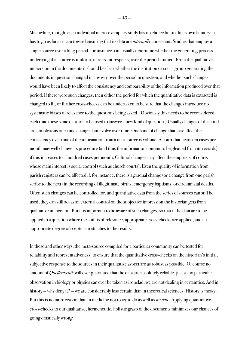Meanwhile, though, each individual micro-exemplary study has no choice but to do its own laundry; it has to go as far as it can toward ensuring that its data are *internally* consistent. Studies that employ a single source over a long period, for instance, can usually determine whether the generating process underlying that source is uniform, in relevant respects, over the period studied. From the qualitative immersion in the documents it should be clear whether the institution or social group generating the documents in question changed in any way over the period in question, and whether such changes would have been likely to affect the consistency and comparability of the information produced over that period. If there were such changes, then either the period for which the quantitative data is extracted is changed to fit, or further cross-checks can be undertaken to be sure that the changes introduce no systematic biases of relevance to the questions being asked. (Obviously this needs to be reconsidered each time these same data are to be used to answer a new kind of question.) Usually changes of this kind are not obvious one-time changes but evolve over time. One kind of change that may affect the consistency over time of the information from a data source is volume. A court that hears ten cases per month may well change its procedure (and thus the information content to be gleaned from its records) if this increases to a hundred cases per month. Cultural changes may affect the emphasis of courts whose main interest is social control (such as church courts). Even the quality of information from parish registers can be affected if, for instance, there is a gradual change (or a change from one parish scribe to the next) in the recording of illegitimate births, emergency baptisms, or circumnatal deaths. Often such changes can be controlled for, and quantitative data from the series of sources can still be used; they can still act as an external control on the subjective impression the historian gets from qualitative immersion. But it is important to be aware of such changes, so that if the data are to be applied to a question where the shift is of relevance, appropriate cross-checks are applied, and an appropriate degree of scepticism attaches to the results.

In these and other ways, the meta-source compiled for a particular community can be tested for reliability and representativeness, to ensure that the quantitative cross-checks on the historian's initial, subjective response to the sources in their qualitative aspect are as robust as possible. Of course no amount of *Quellenkritik* will ever guarantee that the data are absolutely reliable, just as no particular observation in biology or physics can ever be taken as ironclad; we are not dealing in certainties. And in history — why deny it? — we are considerably less certain than in theoretical sciences. History is messy. But this is no more reason than in medicine not to try to do as well as we *can*. Applying quantitative cross-checks to our qualitative, hermeneutic, holistic grasp of the documents minimizes our chances of going drastically wrong.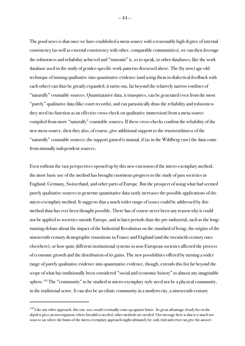The good news is that once we have established a meta-source with a reasonably high degree of internal consistency (as well as external consistency with other, comparable communities), we can then *leverage* the robustness and reliability achieved and "transmit" it, so to speak, to other databases, like the work database used in the study of gender-specific work patterns discussed above. The (by now) age-old technique of turning qualitative into quantitative evidence (and using them in dialectical feedback with each other) can thus be greatly expanded, it turns out, far beyond the relatively narrow confines of "naturally" countable sources. Quantitatative data, it transpires, can be generated even from the most "purely" qualitative data (like court records), and can parasitically draw the reliability and robustness they need (to function as an effective cross-check on qualitative immersion) from a meta-source compiled from more "naturally" countable sources. If these cross-checks confirm the reliability of the new meta-source, then they also, of course, give additional support to the trustworthiness of the "naturally" countable sources; the support gained is mutual, if (as in the Wildberg case) the data come from mutually independent sources.

Even without the vast perspectives opened up by this new extension of the micro-exemplary method, the more basic use of the method has brought enormous progress to the study of past societies in England, Germany, Switzerland, and other parts of Europe. But the prospect of using what had seemed purely qualitative sources to generate quantitative data vastly increases the possible applications of the micro-exemplary method. It suggests that a much wider range of issues could be addressed by this method than has ever been thought possible. There has of course never been any reason why it could not be applied to societies outside Europe, and in later periods than the pre-industrial, such as the longrunning debate about the impact of the Industrial Revolution on the standard of living, the origins of the nineteenth-century demographic transitions in France and England (and the twentieth-century ones elsewhere), or how quite different institutional systems in non-European societies affected the process of economic growth and the distribution of its gains. The new possibilities offered by turning a wider range of purely qualitative evidence into quantitative evidence, though, extends this list far beyond the scope of what has traditionally been considered "social and economic history" to almost any imaginable sphere.<sup>143</sup> The "community" to be studied in micro-exemplary style need not be a physical community, in the traditional sense. It can also be an ethnic community in a modern city, a nineteenth-century

 $^{143}$  Like any other approach, this one, too, would eventually come up against limits. Its great advantage clearly lies in the *depth* it gives an investigation; where breadth is needed, other methods are needed. Our message here is that it is much too soon to say where the limits of the micro-exemplary approach might ultimately lie; only trial and error can give the answer.